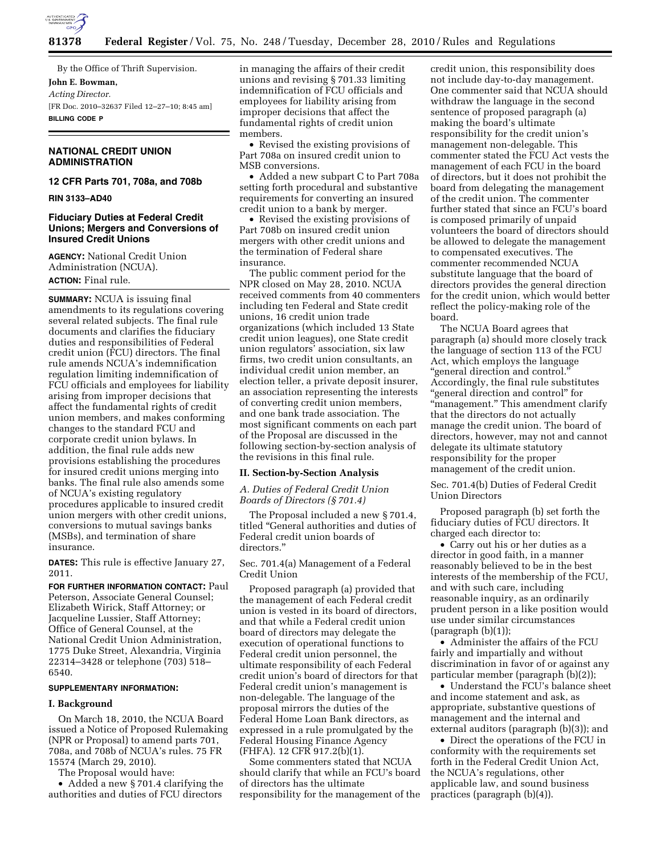

By the Office of Thrift Supervision.

**John E. Bowman,**  *Acting Director.*  [FR Doc. 2010–32637 Filed 12–27–10; 8:45 am] **BILLING CODE P** 

# **NATIONAL CREDIT UNION ADMINISTRATION**

**12 CFR Parts 701, 708a, and 708b** 

**RIN 3133–AD40** 

# **Fiduciary Duties at Federal Credit Unions; Mergers and Conversions of Insured Credit Unions**

**AGENCY:** National Credit Union Administration (NCUA). **ACTION:** Final rule.

**SUMMARY:** NCUA is issuing final amendments to its regulations covering several related subjects. The final rule documents and clarifies the fiduciary duties and responsibilities of Federal credit union (FCU) directors. The final rule amends NCUA's indemnification regulation limiting indemnification of FCU officials and employees for liability arising from improper decisions that affect the fundamental rights of credit union members, and makes conforming changes to the standard FCU and corporate credit union bylaws. In addition, the final rule adds new provisions establishing the procedures for insured credit unions merging into banks. The final rule also amends some of NCUA's existing regulatory procedures applicable to insured credit union mergers with other credit unions, conversions to mutual savings banks (MSBs), and termination of share insurance.

**DATES:** This rule is effective January 27, 2011.

**FOR FURTHER INFORMATION CONTACT:** Paul Peterson, Associate General Counsel; Elizabeth Wirick, Staff Attorney; or Jacqueline Lussier, Staff Attorney; Office of General Counsel, at the National Credit Union Administration, 1775 Duke Street, Alexandria, Virginia 22314–3428 or telephone (703) 518– 6540.

# **SUPPLEMENTARY INFORMATION:**

### **I. Background**

On March 18, 2010, the NCUA Board issued a Notice of Proposed Rulemaking (NPR or Proposal) to amend parts 701, 708a, and 708b of NCUA's rules. 75 FR 15574 (March 29, 2010).

The Proposal would have:

• Added a new §701.4 clarifying the authorities and duties of FCU directors

in managing the affairs of their credit unions and revising § 701.33 limiting indemnification of FCU officials and employees for liability arising from improper decisions that affect the fundamental rights of credit union members.

• Revised the existing provisions of Part 708a on insured credit union to MSB conversions.

• Added a new subpart C to Part 708a setting forth procedural and substantive requirements for converting an insured credit union to a bank by merger.

• Revised the existing provisions of Part 708b on insured credit union mergers with other credit unions and the termination of Federal share insurance.

The public comment period for the NPR closed on May 28, 2010. NCUA received comments from 40 commenters including ten Federal and State credit unions, 16 credit union trade organizations (which included 13 State credit union leagues), one State credit union regulators' association, six law firms, two credit union consultants, an individual credit union member, an election teller, a private deposit insurer, an association representing the interests of converting credit union members, and one bank trade association. The most significant comments on each part of the Proposal are discussed in the following section-by-section analysis of the revisions in this final rule.

### **II. Section-by-Section Analysis**

*A. Duties of Federal Credit Union Boards of Directors (§ 701.4)* 

The Proposal included a new § 701.4, titled ''General authorities and duties of Federal credit union boards of directors.'

Sec. 701.4(a) Management of a Federal Credit Union

Proposed paragraph (a) provided that the management of each Federal credit union is vested in its board of directors, and that while a Federal credit union board of directors may delegate the execution of operational functions to Federal credit union personnel, the ultimate responsibility of each Federal credit union's board of directors for that Federal credit union's management is non-delegable. The language of the proposal mirrors the duties of the Federal Home Loan Bank directors, as expressed in a rule promulgated by the Federal Housing Finance Agency (FHFA). 12 CFR 917.2(b)(1).

Some commenters stated that NCUA should clarify that while an FCU's board of directors has the ultimate responsibility for the management of the

credit union, this responsibility does not include day-to-day management. One commenter said that NCUA should withdraw the language in the second sentence of proposed paragraph (a) making the board's ultimate responsibility for the credit union's management non-delegable. This commenter stated the FCU Act vests the management of each FCU in the board of directors, but it does not prohibit the board from delegating the management of the credit union. The commenter further stated that since an FCU's board is composed primarily of unpaid volunteers the board of directors should be allowed to delegate the management to compensated executives. The commenter recommended NCUA substitute language that the board of directors provides the general direction for the credit union, which would better reflect the policy-making role of the board.

The NCUA Board agrees that paragraph (a) should more closely track the language of section 113 of the FCU Act, which employs the language ''general direction and control.'' Accordingly, the final rule substitutes ''general direction and control'' for "management." This amendment clarify that the directors do not actually manage the credit union. The board of directors, however, may not and cannot delegate its ultimate statutory responsibility for the proper management of the credit union.

Sec. 701.4(b) Duties of Federal Credit Union Directors

Proposed paragraph (b) set forth the fiduciary duties of FCU directors. It charged each director to:

• Carry out his or her duties as a director in good faith, in a manner reasonably believed to be in the best interests of the membership of the FCU, and with such care, including reasonable inquiry, as an ordinarily prudent person in a like position would use under similar circumstances  $(paragnph (b)(1));$ 

• Administer the affairs of the FCU fairly and impartially and without discrimination in favor of or against any particular member (paragraph (b)(2));

• Understand the FCU's balance sheet and income statement and ask, as appropriate, substantive questions of management and the internal and external auditors (paragraph (b)(3)); and

• Direct the operations of the FCU in conformity with the requirements set forth in the Federal Credit Union Act, the NCUA's regulations, other applicable law, and sound business practices (paragraph (b)(4)).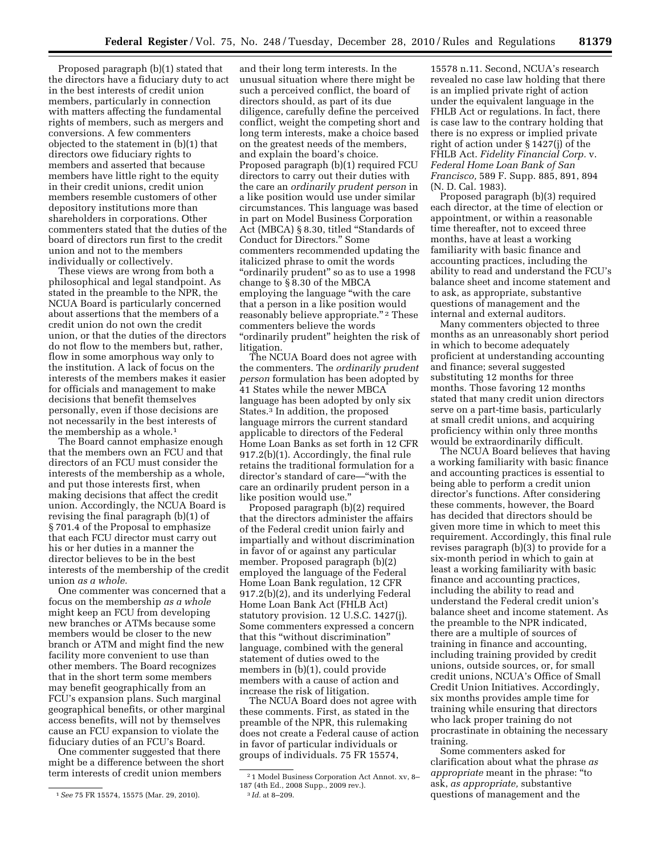Proposed paragraph (b)(1) stated that the directors have a fiduciary duty to act in the best interests of credit union members, particularly in connection with matters affecting the fundamental rights of members, such as mergers and conversions. A few commenters objected to the statement in (b)(1) that directors owe fiduciary rights to members and asserted that because members have little right to the equity in their credit unions, credit union members resemble customers of other depository institutions more than shareholders in corporations. Other commenters stated that the duties of the board of directors run first to the credit union and not to the members individually or collectively.

These views are wrong from both a philosophical and legal standpoint. As stated in the preamble to the NPR, the NCUA Board is particularly concerned about assertions that the members of a credit union do not own the credit union, or that the duties of the directors do not flow to the members but, rather, flow in some amorphous way only to the institution. A lack of focus on the interests of the members makes it easier for officials and management to make decisions that benefit themselves personally, even if those decisions are not necessarily in the best interests of the membership as a whole.1

The Board cannot emphasize enough that the members own an FCU and that directors of an FCU must consider the interests of the membership as a whole, and put those interests first, when making decisions that affect the credit union. Accordingly, the NCUA Board is revising the final paragraph (b)(1) of § 701.4 of the Proposal to emphasize that each FCU director must carry out his or her duties in a manner the director believes to be in the best interests of the membership of the credit union *as a whole.* 

One commenter was concerned that a focus on the membership *as a whole*  might keep an FCU from developing new branches or ATMs because some members would be closer to the new branch or ATM and might find the new facility more convenient to use than other members. The Board recognizes that in the short term some members may benefit geographically from an FCU's expansion plans. Such marginal geographical benefits, or other marginal access benefits, will not by themselves cause an FCU expansion to violate the fiduciary duties of an FCU's Board.

One commenter suggested that there might be a difference between the short term interests of credit union members

and their long term interests. In the unusual situation where there might be such a perceived conflict, the board of directors should, as part of its due diligence, carefully define the perceived conflict, weight the competing short and long term interests, make a choice based on the greatest needs of the members, and explain the board's choice. Proposed paragraph (b)(1) required FCU directors to carry out their duties with the care an *ordinarily prudent person* in a like position would use under similar circumstances. This language was based in part on Model Business Corporation Act (MBCA) § 8.30, titled ''Standards of Conduct for Directors.'' Some commenters recommended updating the italicized phrase to omit the words "ordinarily prudent" so as to use a 1998 change to § 8.30 of the MBCA employing the language ''with the care that a person in a like position would reasonably believe appropriate."<sup>2</sup> These commenters believe the words "ordinarily prudent" heighten the risk of litigation.

The NCUA Board does not agree with the commenters. The *ordinarily prudent person* formulation has been adopted by 41 States while the newer MBCA language has been adopted by only six States.3 In addition, the proposed language mirrors the current standard applicable to directors of the Federal Home Loan Banks as set forth in 12 CFR 917.2(b)(1). Accordingly, the final rule retains the traditional formulation for a director's standard of care—''with the care an ordinarily prudent person in a like position would use.''

Proposed paragraph (b)(2) required that the directors administer the affairs of the Federal credit union fairly and impartially and without discrimination in favor of or against any particular member. Proposed paragraph (b)(2) employed the language of the Federal Home Loan Bank regulation, 12 CFR 917.2(b)(2), and its underlying Federal Home Loan Bank Act (FHLB Act) statutory provision. 12 U.S.C. 1427(j). Some commenters expressed a concern that this ''without discrimination'' language, combined with the general statement of duties owed to the members in (b)(1), could provide members with a cause of action and increase the risk of litigation.

The NCUA Board does not agree with these comments. First, as stated in the preamble of the NPR, this rulemaking does not create a Federal cause of action in favor of particular individuals or groups of individuals. 75 FR 15574,

15578 n.11. Second, NCUA's research revealed no case law holding that there is an implied private right of action under the equivalent language in the FHLB Act or regulations. In fact, there is case law to the contrary holding that there is no express or implied private right of action under § 1427(j) of the FHLB Act. *Fidelity Financial Corp.* v. *Federal Home Loan Bank of San Francisco,* 589 F. Supp. 885, 891, 894 (N. D. Cal. 1983).

Proposed paragraph (b)(3) required each director, at the time of election or appointment, or within a reasonable time thereafter, not to exceed three months, have at least a working familiarity with basic finance and accounting practices, including the ability to read and understand the FCU's balance sheet and income statement and to ask, as appropriate, substantive questions of management and the internal and external auditors.

Many commenters objected to three months as an unreasonably short period in which to become adequately proficient at understanding accounting and finance; several suggested substituting 12 months for three months. Those favoring 12 months stated that many credit union directors serve on a part-time basis, particularly at small credit unions, and acquiring proficiency within only three months would be extraordinarily difficult.

The NCUA Board believes that having a working familiarity with basic finance and accounting practices is essential to being able to perform a credit union director's functions. After considering these comments, however, the Board has decided that directors should be given more time in which to meet this requirement. Accordingly, this final rule revises paragraph (b)(3) to provide for a six-month period in which to gain at least a working familiarity with basic finance and accounting practices, including the ability to read and understand the Federal credit union's balance sheet and income statement. As the preamble to the NPR indicated, there are a multiple of sources of training in finance and accounting, including training provided by credit unions, outside sources, or, for small credit unions, NCUA's Office of Small Credit Union Initiatives. Accordingly, six months provides ample time for training while ensuring that directors who lack proper training do not procrastinate in obtaining the necessary training.

Some commenters asked for clarification about what the phrase *as appropriate* meant in the phrase: ''to ask, *as appropriate,* substantive questions of management and the

<sup>1</sup>*See* 75 FR 15574, 15575 (Mar. 29, 2010).

<sup>2</sup> 1 Model Business Corporation Act Annot. xv, 8– 187 (4th Ed., 2008 Supp., 2009 rev.). 3 *Id.* at 8–209.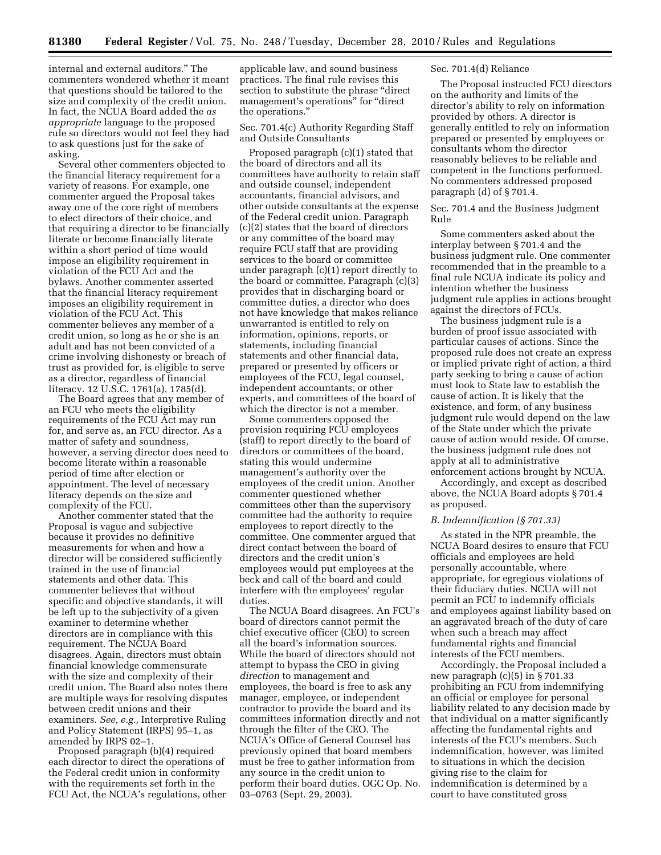internal and external auditors.'' The commenters wondered whether it meant that questions should be tailored to the size and complexity of the credit union. In fact, the NCUA Board added the *as appropriate* language to the proposed rule so directors would not feel they had to ask questions just for the sake of asking.

Several other commenters objected to the financial literacy requirement for a variety of reasons. For example, one commenter argued the Proposal takes away one of the core right of members to elect directors of their choice, and that requiring a director to be financially literate or become financially literate within a short period of time would impose an eligibility requirement in violation of the FCU Act and the bylaws. Another commenter asserted that the financial literacy requirement imposes an eligibility requirement in violation of the FCU Act. This commenter believes any member of a credit union, so long as he or she is an adult and has not been convicted of a crime involving dishonesty or breach of trust as provided for, is eligible to serve as a director, regardless of financial literacy. 12 U.S.C. 1761(a), 1785(d).

The Board agrees that any member of an FCU who meets the eligibility requirements of the FCU Act may run for, and serve as, an FCU director. As a matter of safety and soundness, however, a serving director does need to become literate within a reasonable period of time after election or appointment. The level of necessary literacy depends on the size and complexity of the FCU.

Another commenter stated that the Proposal is vague and subjective because it provides no definitive measurements for when and how a director will be considered sufficiently trained in the use of financial statements and other data. This commenter believes that without specific and objective standards, it will be left up to the subjectivity of a given examiner to determine whether directors are in compliance with this requirement. The NCUA Board disagrees. Again, directors must obtain financial knowledge commensurate with the size and complexity of their credit union. The Board also notes there are multiple ways for resolving disputes between credit unions and their examiners. *See, e.g.,* Interpretive Ruling and Policy Statement (IRPS) 95–1, as amended by IRPS 02–1.

Proposed paragraph (b)(4) required each director to direct the operations of the Federal credit union in conformity with the requirements set forth in the FCU Act, the NCUA's regulations, other

applicable law, and sound business practices. The final rule revises this section to substitute the phrase ''direct management's operations" for "direct the operations.''

Sec. 701.4(c) Authority Regarding Staff and Outside Consultants

Proposed paragraph (c)(1) stated that the board of directors and all its committees have authority to retain staff and outside counsel, independent accountants, financial advisors, and other outside consultants at the expense of the Federal credit union. Paragraph (c)(2) states that the board of directors or any committee of the board may require FCU staff that are providing services to the board or committee under paragraph (c)(1) report directly to the board or committee. Paragraph (c)(3) provides that in discharging board or committee duties, a director who does not have knowledge that makes reliance unwarranted is entitled to rely on information, opinions, reports, or statements, including financial statements and other financial data, prepared or presented by officers or employees of the FCU, legal counsel, independent accountants, or other experts, and committees of the board of which the director is not a member.

Some commenters opposed the provision requiring FCU employees (staff) to report directly to the board of directors or committees of the board, stating this would undermine management's authority over the employees of the credit union. Another commenter questioned whether committees other than the supervisory committee had the authority to require employees to report directly to the committee. One commenter argued that direct contact between the board of directors and the credit union's employees would put employees at the beck and call of the board and could interfere with the employees' regular duties.

The NCUA Board disagrees. An FCU's board of directors cannot permit the chief executive officer (CEO) to screen all the board's information sources. While the board of directors should not attempt to bypass the CEO in giving *direction* to management and employees, the board is free to ask any manager, employee, or independent contractor to provide the board and its committees information directly and not through the filter of the CEO. The NCUA's Office of General Counsel has previously opined that board members must be free to gather information from any source in the credit union to perform their board duties. OGC Op. No. 03–0763 (Sept. 29, 2003).

## Sec. 701.4(d) Reliance

The Proposal instructed FCU directors on the authority and limits of the director's ability to rely on information provided by others. A director is generally entitled to rely on information prepared or presented by employees or consultants whom the director reasonably believes to be reliable and competent in the functions performed. No commenters addressed proposed paragraph (d) of § 701.4.

Sec. 701.4 and the Business Judgment Rule

Some commenters asked about the interplay between § 701.4 and the business judgment rule. One commenter recommended that in the preamble to a final rule NCUA indicate its policy and intention whether the business judgment rule applies in actions brought against the directors of FCUs.

The business judgment rule is a burden of proof issue associated with particular causes of actions. Since the proposed rule does not create an express or implied private right of action, a third party seeking to bring a cause of action must look to State law to establish the cause of action. It is likely that the existence, and form, of any business judgment rule would depend on the law of the State under which the private cause of action would reside. Of course, the business judgment rule does not apply at all to administrative enforcement actions brought by NCUA.

Accordingly, and except as described above, the NCUA Board adopts § 701.4 as proposed.

#### *B. Indemnification (§ 701.33)*

As stated in the NPR preamble, the NCUA Board desires to ensure that FCU officials and employees are held personally accountable, where appropriate, for egregious violations of their fiduciary duties. NCUA will not permit an FCU to indemnify officials and employees against liability based on an aggravated breach of the duty of care when such a breach may affect fundamental rights and financial interests of the FCU members.

Accordingly, the Proposal included a new paragraph (c)(5) in § 701.33 prohibiting an FCU from indemnifying an official or employee for personal liability related to any decision made by that individual on a matter significantly affecting the fundamental rights and interests of the FCU's members. Such indemnification, however, was limited to situations in which the decision giving rise to the claim for indemnification is determined by a court to have constituted gross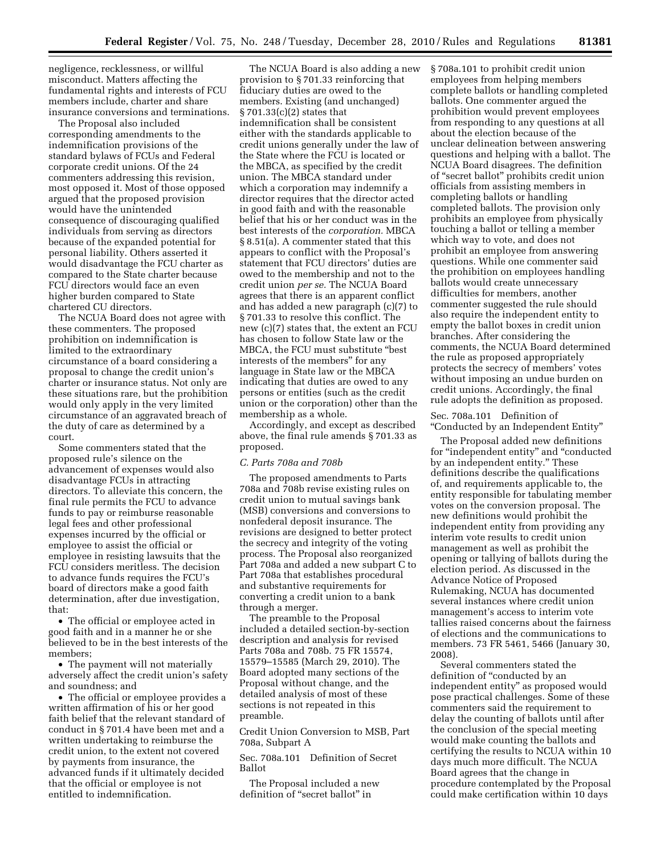negligence, recklessness, or willful misconduct. Matters affecting the fundamental rights and interests of FCU members include, charter and share insurance conversions and terminations.

The Proposal also included corresponding amendments to the indemnification provisions of the standard bylaws of FCUs and Federal corporate credit unions. Of the 24 commenters addressing this revision, most opposed it. Most of those opposed argued that the proposed provision would have the unintended consequence of discouraging qualified individuals from serving as directors because of the expanded potential for personal liability. Others asserted it would disadvantage the FCU charter as compared to the State charter because FCU directors would face an even higher burden compared to State chartered CU directors.

The NCUA Board does not agree with these commenters. The proposed prohibition on indemnification is limited to the extraordinary circumstance of a board considering a proposal to change the credit union's charter or insurance status. Not only are these situations rare, but the prohibition would only apply in the very limited circumstance of an aggravated breach of the duty of care as determined by a court.

Some commenters stated that the proposed rule's silence on the advancement of expenses would also disadvantage FCUs in attracting directors. To alleviate this concern, the final rule permits the FCU to advance funds to pay or reimburse reasonable legal fees and other professional expenses incurred by the official or employee to assist the official or employee in resisting lawsuits that the FCU considers meritless. The decision to advance funds requires the FCU's board of directors make a good faith determination, after due investigation, that:

• The official or employee acted in good faith and in a manner he or she believed to be in the best interests of the members;

• The payment will not materially adversely affect the credit union's safety and soundness; and

• The official or employee provides a written affirmation of his or her good faith belief that the relevant standard of conduct in § 701.4 have been met and a written undertaking to reimburse the credit union, to the extent not covered by payments from insurance, the advanced funds if it ultimately decided that the official or employee is not entitled to indemnification.

The NCUA Board is also adding a new provision to § 701.33 reinforcing that fiduciary duties are owed to the members. Existing (and unchanged) § 701.33(c)(2) states that indemnification shall be consistent either with the standards applicable to credit unions generally under the law of the State where the FCU is located or the MBCA, as specified by the credit union. The MBCA standard under which a corporation may indemnify a director requires that the director acted in good faith and with the reasonable belief that his or her conduct was in the best interests of the *corporation.* MBCA § 8.51(a). A commenter stated that this appears to conflict with the Proposal's statement that FCU directors' duties are owed to the membership and not to the credit union *per se.* The NCUA Board agrees that there is an apparent conflict and has added a new paragraph (c)(7) to § 701.33 to resolve this conflict. The new (c)(7) states that, the extent an FCU has chosen to follow State law or the MBCA, the FCU must substitute ''best interests of the members'' for any language in State law or the MBCA indicating that duties are owed to any persons or entities (such as the credit union or the corporation) other than the membership as a whole.

Accordingly, and except as described above, the final rule amends § 701.33 as proposed.

#### *C. Parts 708a and 708b*

The proposed amendments to Parts 708a and 708b revise existing rules on credit union to mutual savings bank (MSB) conversions and conversions to nonfederal deposit insurance. The revisions are designed to better protect the secrecy and integrity of the voting process. The Proposal also reorganized Part 708a and added a new subpart C to Part 708a that establishes procedural and substantive requirements for converting a credit union to a bank through a merger.

The preamble to the Proposal included a detailed section-by-section description and analysis for revised Parts 708a and 708b. 75 FR 15574, 15579–15585 (March 29, 2010). The Board adopted many sections of the Proposal without change, and the detailed analysis of most of these sections is not repeated in this preamble.

Credit Union Conversion to MSB, Part 708a, Subpart A

Sec. 708a.101 Definition of Secret Ballot

The Proposal included a new definition of "secret ballot" in

§ 708a.101 to prohibit credit union employees from helping members complete ballots or handling completed ballots. One commenter argued the prohibition would prevent employees from responding to any questions at all about the election because of the unclear delineation between answering questions and helping with a ballot. The NCUA Board disagrees. The definition of ''secret ballot'' prohibits credit union officials from assisting members in completing ballots or handling completed ballots. The provision only prohibits an employee from physically touching a ballot or telling a member which way to vote, and does not prohibit an employee from answering questions. While one commenter said the prohibition on employees handling ballots would create unnecessary difficulties for members, another commenter suggested the rule should also require the independent entity to empty the ballot boxes in credit union branches. After considering the comments, the NCUA Board determined the rule as proposed appropriately protects the secrecy of members' votes without imposing an undue burden on credit unions. Accordingly, the final rule adopts the definition as proposed.

Sec. 708a.101 Definition of ''Conducted by an Independent Entity''

The Proposal added new definitions for ''independent entity'' and ''conducted by an independent entity.'' These definitions describe the qualifications of, and requirements applicable to, the entity responsible for tabulating member votes on the conversion proposal. The new definitions would prohibit the independent entity from providing any interim vote results to credit union management as well as prohibit the opening or tallying of ballots during the election period. As discussed in the Advance Notice of Proposed Rulemaking, NCUA has documented several instances where credit union management's access to interim vote tallies raised concerns about the fairness of elections and the communications to members. 73 FR 5461, 5466 (January 30, 2008).

Several commenters stated the definition of "conducted by an independent entity'' as proposed would pose practical challenges. Some of these commenters said the requirement to delay the counting of ballots until after the conclusion of the special meeting would make counting the ballots and certifying the results to NCUA within 10 days much more difficult. The NCUA Board agrees that the change in procedure contemplated by the Proposal could make certification within 10 days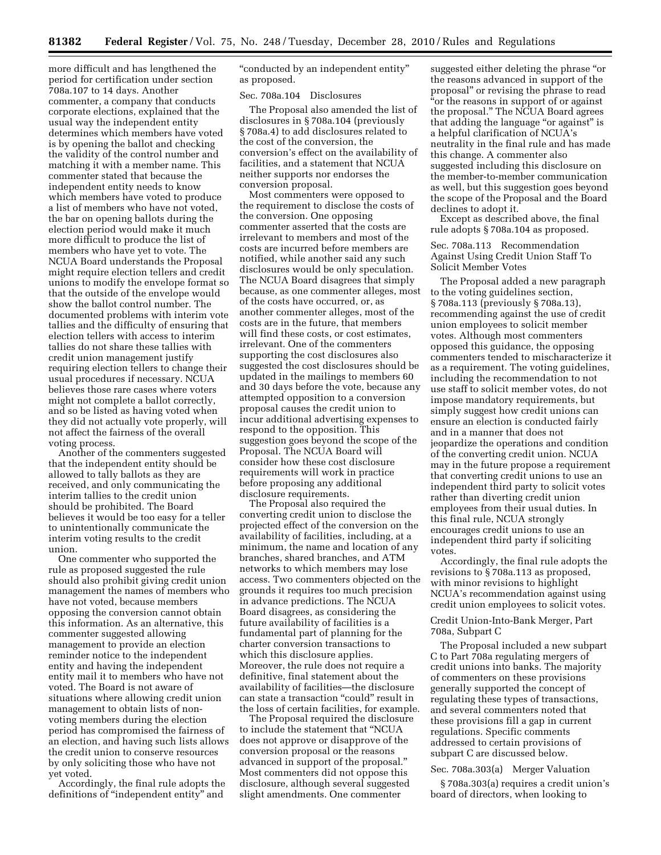more difficult and has lengthened the period for certification under section 708a.107 to 14 days. Another commenter, a company that conducts corporate elections, explained that the usual way the independent entity determines which members have voted is by opening the ballot and checking the validity of the control number and matching it with a member name. This commenter stated that because the independent entity needs to know which members have voted to produce a list of members who have not voted, the bar on opening ballots during the election period would make it much more difficult to produce the list of members who have yet to vote. The NCUA Board understands the Proposal might require election tellers and credit unions to modify the envelope format so that the outside of the envelope would show the ballot control number. The documented problems with interim vote tallies and the difficulty of ensuring that election tellers with access to interim tallies do not share these tallies with credit union management justify requiring election tellers to change their usual procedures if necessary. NCUA believes those rare cases where voters might not complete a ballot correctly, and so be listed as having voted when they did not actually vote properly, will not affect the fairness of the overall voting process.

Another of the commenters suggested that the independent entity should be allowed to tally ballots as they are received, and only communicating the interim tallies to the credit union should be prohibited. The Board believes it would be too easy for a teller to unintentionally communicate the interim voting results to the credit union.

One commenter who supported the rule as proposed suggested the rule should also prohibit giving credit union management the names of members who have not voted, because members opposing the conversion cannot obtain this information. As an alternative, this commenter suggested allowing management to provide an election reminder notice to the independent entity and having the independent entity mail it to members who have not voted. The Board is not aware of situations where allowing credit union management to obtain lists of nonvoting members during the election period has compromised the fairness of an election, and having such lists allows the credit union to conserve resources by only soliciting those who have not yet voted.

Accordingly, the final rule adopts the definitions of "independent entity" and

''conducted by an independent entity'' as proposed.

Sec. 708a.104 Disclosures

The Proposal also amended the list of disclosures in § 708a.104 (previously § 708a.4) to add disclosures related to the cost of the conversion, the conversion's effect on the availability of facilities, and a statement that NCUA neither supports nor endorses the conversion proposal.

Most commenters were opposed to the requirement to disclose the costs of the conversion. One opposing commenter asserted that the costs are irrelevant to members and most of the costs are incurred before members are notified, while another said any such disclosures would be only speculation. The NCUA Board disagrees that simply because, as one commenter alleges, most of the costs have occurred, or, as another commenter alleges, most of the costs are in the future, that members will find these costs, or cost estimates, irrelevant. One of the commenters supporting the cost disclosures also suggested the cost disclosures should be updated in the mailings to members 60 and 30 days before the vote, because any attempted opposition to a conversion proposal causes the credit union to incur additional advertising expenses to respond to the opposition. This suggestion goes beyond the scope of the Proposal. The NCUA Board will consider how these cost disclosure requirements will work in practice before proposing any additional disclosure requirements.

The Proposal also required the converting credit union to disclose the projected effect of the conversion on the availability of facilities, including, at a minimum, the name and location of any branches, shared branches, and ATM networks to which members may lose access. Two commenters objected on the grounds it requires too much precision in advance predictions. The NCUA Board disagrees, as considering the future availability of facilities is a fundamental part of planning for the charter conversion transactions to which this disclosure applies. Moreover, the rule does not require a definitive, final statement about the availability of facilities—the disclosure can state a transaction "could" result in the loss of certain facilities, for example.

The Proposal required the disclosure to include the statement that ''NCUA does not approve or disapprove of the conversion proposal or the reasons advanced in support of the proposal.'' Most commenters did not oppose this disclosure, although several suggested slight amendments. One commenter

suggested either deleting the phrase ''or the reasons advanced in support of the proposal'' or revising the phrase to read "or the reasons in support of or against the proposal.'' The NCUA Board agrees that adding the language "or against" is a helpful clarification of NCUA's neutrality in the final rule and has made this change. A commenter also suggested including this disclosure on the member-to-member communication as well, but this suggestion goes beyond the scope of the Proposal and the Board declines to adopt it.

Except as described above, the final rule adopts § 708a.104 as proposed.

Sec. 708a.113 Recommendation Against Using Credit Union Staff To Solicit Member Votes

The Proposal added a new paragraph to the voting guidelines section, § 708a.113 (previously § 708a.13), recommending against the use of credit union employees to solicit member votes. Although most commenters opposed this guidance, the opposing commenters tended to mischaracterize it as a requirement. The voting guidelines, including the recommendation to not use staff to solicit member votes, do not impose mandatory requirements, but simply suggest how credit unions can ensure an election is conducted fairly and in a manner that does not jeopardize the operations and condition of the converting credit union. NCUA may in the future propose a requirement that converting credit unions to use an independent third party to solicit votes rather than diverting credit union employees from their usual duties. In this final rule, NCUA strongly encourages credit unions to use an independent third party if soliciting votes.

Accordingly, the final rule adopts the revisions to § 708a.113 as proposed, with minor revisions to highlight NCUA's recommendation against using credit union employees to solicit votes.

Credit Union-Into-Bank Merger, Part 708a, Subpart C

The Proposal included a new subpart C to Part 708a regulating mergers of credit unions into banks. The majority of commenters on these provisions generally supported the concept of regulating these types of transactions, and several commenters noted that these provisions fill a gap in current regulations. Specific comments addressed to certain provisions of subpart C are discussed below.

Sec. 708a.303(a) Merger Valuation

§ 708a.303(a) requires a credit union's board of directors, when looking to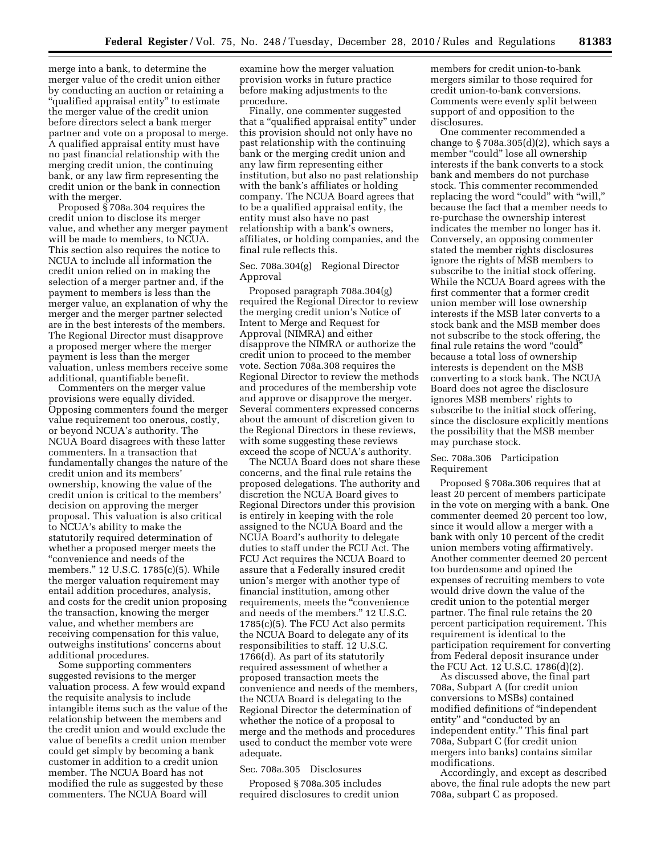merge into a bank, to determine the merger value of the credit union either by conducting an auction or retaining a "qualified appraisal entity" to estimate the merger value of the credit union before directors select a bank merger partner and vote on a proposal to merge. A qualified appraisal entity must have no past financial relationship with the merging credit union, the continuing bank, or any law firm representing the credit union or the bank in connection with the merger.

Proposed § 708a.304 requires the credit union to disclose its merger value, and whether any merger payment will be made to members, to NCUA. This section also requires the notice to NCUA to include all information the credit union relied on in making the selection of a merger partner and, if the payment to members is less than the merger value, an explanation of why the merger and the merger partner selected are in the best interests of the members. The Regional Director must disapprove a proposed merger where the merger payment is less than the merger valuation, unless members receive some additional, quantifiable benefit.

Commenters on the merger value provisions were equally divided. Opposing commenters found the merger value requirement too onerous, costly, or beyond NCUA's authority. The NCUA Board disagrees with these latter commenters. In a transaction that fundamentally changes the nature of the credit union and its members' ownership, knowing the value of the credit union is critical to the members' decision on approving the merger proposal. This valuation is also critical to NCUA's ability to make the statutorily required determination of whether a proposed merger meets the ''convenience and needs of the members.'' 12 U.S.C. 1785(c)(5). While the merger valuation requirement may entail addition procedures, analysis, and costs for the credit union proposing the transaction, knowing the merger value, and whether members are receiving compensation for this value, outweighs institutions' concerns about additional procedures.

Some supporting commenters suggested revisions to the merger valuation process. A few would expand the requisite analysis to include intangible items such as the value of the relationship between the members and the credit union and would exclude the value of benefits a credit union member could get simply by becoming a bank customer in addition to a credit union member. The NCUA Board has not modified the rule as suggested by these commenters. The NCUA Board will

examine how the merger valuation provision works in future practice before making adjustments to the procedure.

Finally, one commenter suggested that a ''qualified appraisal entity'' under this provision should not only have no past relationship with the continuing bank or the merging credit union and any law firm representing either institution, but also no past relationship with the bank's affiliates or holding company. The NCUA Board agrees that to be a qualified appraisal entity, the entity must also have no past relationship with a bank's owners, affiliates, or holding companies, and the final rule reflects this.

Sec. 708a.304(g) Regional Director Approval

Proposed paragraph 708a.304(g) required the Regional Director to review the merging credit union's Notice of Intent to Merge and Request for Approval (NIMRA) and either disapprove the NIMRA or authorize the credit union to proceed to the member vote. Section 708a.308 requires the Regional Director to review the methods and procedures of the membership vote and approve or disapprove the merger. Several commenters expressed concerns about the amount of discretion given to the Regional Directors in these reviews, with some suggesting these reviews exceed the scope of NCUA's authority.

The NCUA Board does not share these concerns, and the final rule retains the proposed delegations. The authority and discretion the NCUA Board gives to Regional Directors under this provision is entirely in keeping with the role assigned to the NCUA Board and the NCUA Board's authority to delegate duties to staff under the FCU Act. The FCU Act requires the NCUA Board to assure that a Federally insured credit union's merger with another type of financial institution, among other requirements, meets the ''convenience and needs of the members.'' 12 U.S.C. 1785(c)(5). The FCU Act also permits the NCUA Board to delegate any of its responsibilities to staff. 12 U.S.C. 1766(d). As part of its statutorily required assessment of whether a proposed transaction meets the convenience and needs of the members, the NCUA Board is delegating to the Regional Director the determination of whether the notice of a proposal to merge and the methods and procedures used to conduct the member vote were adequate.

#### Sec. 708a.305 Disclosures

Proposed § 708a.305 includes required disclosures to credit union members for credit union-to-bank mergers similar to those required for credit union-to-bank conversions. Comments were evenly split between support of and opposition to the disclosures.

One commenter recommended a change to  $\S 708a.305(d)(2)$ , which says a member "could" lose all ownership interests if the bank converts to a stock bank and members do not purchase stock. This commenter recommended replacing the word "could" with "will," because the fact that a member needs to re-purchase the ownership interest indicates the member no longer has it. Conversely, an opposing commenter stated the member rights disclosures ignore the rights of MSB members to subscribe to the initial stock offering. While the NCUA Board agrees with the first commenter that a former credit union member will lose ownership interests if the MSB later converts to a stock bank and the MSB member does not subscribe to the stock offering, the final rule retains the word "could" because a total loss of ownership interests is dependent on the MSB converting to a stock bank. The NCUA Board does not agree the disclosure ignores MSB members' rights to subscribe to the initial stock offering, since the disclosure explicitly mentions the possibility that the MSB member may purchase stock.

## Sec. 708a.306 Participation Requirement

Proposed § 708a.306 requires that at least 20 percent of members participate in the vote on merging with a bank. One commenter deemed 20 percent too low, since it would allow a merger with a bank with only 10 percent of the credit union members voting affirmatively. Another commenter deemed 20 percent too burdensome and opined the expenses of recruiting members to vote would drive down the value of the credit union to the potential merger partner. The final rule retains the 20 percent participation requirement. This requirement is identical to the participation requirement for converting from Federal deposit insurance under the FCU Act. 12 U.S.C. 1786(d)(2).

As discussed above, the final part 708a, Subpart A (for credit union conversions to MSBs) contained modified definitions of ''independent entity'' and ''conducted by an independent entity.'' This final part 708a, Subpart C (for credit union mergers into banks) contains similar modifications.

Accordingly, and except as described above, the final rule adopts the new part 708a, subpart C as proposed.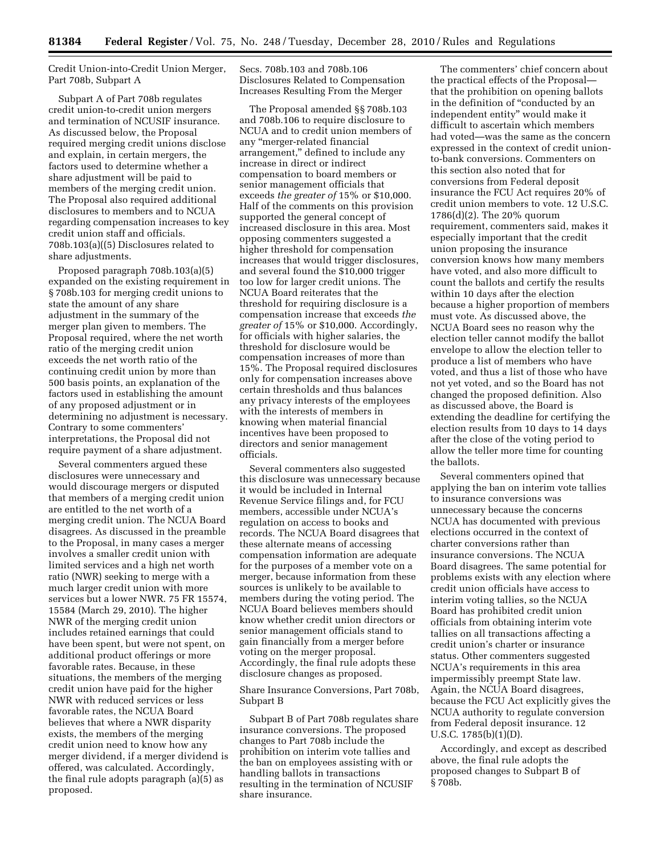Credit Union-into-Credit Union Merger, Part 708b, Subpart A

Subpart A of Part 708b regulates credit union-to-credit union mergers and termination of NCUSIF insurance. As discussed below, the Proposal required merging credit unions disclose and explain, in certain mergers, the factors used to determine whether a share adjustment will be paid to members of the merging credit union. The Proposal also required additional disclosures to members and to NCUA regarding compensation increases to key credit union staff and officials. 708b.103(a)((5) Disclosures related to share adjustments.

Proposed paragraph 708b.103(a)(5) expanded on the existing requirement in § 708b.103 for merging credit unions to state the amount of any share adjustment in the summary of the merger plan given to members. The Proposal required, where the net worth ratio of the merging credit union exceeds the net worth ratio of the continuing credit union by more than 500 basis points, an explanation of the factors used in establishing the amount of any proposed adjustment or in determining no adjustment is necessary. Contrary to some commenters' interpretations, the Proposal did not require payment of a share adjustment.

Several commenters argued these disclosures were unnecessary and would discourage mergers or disputed that members of a merging credit union are entitled to the net worth of a merging credit union. The NCUA Board disagrees. As discussed in the preamble to the Proposal, in many cases a merger involves a smaller credit union with limited services and a high net worth ratio (NWR) seeking to merge with a much larger credit union with more services but a lower NWR. 75 FR 15574, 15584 (March 29, 2010). The higher NWR of the merging credit union includes retained earnings that could have been spent, but were not spent, on additional product offerings or more favorable rates. Because, in these situations, the members of the merging credit union have paid for the higher NWR with reduced services or less favorable rates, the NCUA Board believes that where a NWR disparity exists, the members of the merging credit union need to know how any merger dividend, if a merger dividend is offered, was calculated. Accordingly, the final rule adopts paragraph (a)(5) as proposed.

Secs. 708b.103 and 708b.106 Disclosures Related to Compensation Increases Resulting From the Merger

The Proposal amended §§ 708b.103 and 708b.106 to require disclosure to NCUA and to credit union members of any ''merger-related financial arrangement,'' defined to include any increase in direct or indirect compensation to board members or senior management officials that exceeds *the greater of* 15% or \$10,000. Half of the comments on this provision supported the general concept of increased disclosure in this area. Most opposing commenters suggested a higher threshold for compensation increases that would trigger disclosures, and several found the \$10,000 trigger too low for larger credit unions. The NCUA Board reiterates that the threshold for requiring disclosure is a compensation increase that exceeds *the greater of* 15% or \$10,000. Accordingly, for officials with higher salaries, the threshold for disclosure would be compensation increases of more than 15%. The Proposal required disclosures only for compensation increases above certain thresholds and thus balances any privacy interests of the employees with the interests of members in knowing when material financial incentives have been proposed to directors and senior management officials.

Several commenters also suggested this disclosure was unnecessary because it would be included in Internal Revenue Service filings and, for FCU members, accessible under NCUA's regulation on access to books and records. The NCUA Board disagrees that these alternate means of accessing compensation information are adequate for the purposes of a member vote on a merger, because information from these sources is unlikely to be available to members during the voting period. The NCUA Board believes members should know whether credit union directors or senior management officials stand to gain financially from a merger before voting on the merger proposal. Accordingly, the final rule adopts these disclosure changes as proposed.

# Share Insurance Conversions, Part 708b, Subpart B

Subpart B of Part 708b regulates share insurance conversions. The proposed changes to Part 708b include the prohibition on interim vote tallies and the ban on employees assisting with or handling ballots in transactions resulting in the termination of NCUSIF share insurance.

The commenters' chief concern about the practical effects of the Proposal that the prohibition on opening ballots in the definition of ''conducted by an independent entity'' would make it difficult to ascertain which members had voted—was the same as the concern expressed in the context of credit unionto-bank conversions. Commenters on this section also noted that for conversions from Federal deposit insurance the FCU Act requires 20% of credit union members to vote. 12 U.S.C. 1786(d)(2). The 20% quorum requirement, commenters said, makes it especially important that the credit union proposing the insurance conversion knows how many members have voted, and also more difficult to count the ballots and certify the results within 10 days after the election because a higher proportion of members must vote. As discussed above, the NCUA Board sees no reason why the election teller cannot modify the ballot envelope to allow the election teller to produce a list of members who have voted, and thus a list of those who have not yet voted, and so the Board has not changed the proposed definition. Also as discussed above, the Board is extending the deadline for certifying the election results from 10 days to 14 days after the close of the voting period to allow the teller more time for counting the ballots.

Several commenters opined that applying the ban on interim vote tallies to insurance conversions was unnecessary because the concerns NCUA has documented with previous elections occurred in the context of charter conversions rather than insurance conversions. The NCUA Board disagrees. The same potential for problems exists with any election where credit union officials have access to interim voting tallies, so the NCUA Board has prohibited credit union officials from obtaining interim vote tallies on all transactions affecting a credit union's charter or insurance status. Other commenters suggested NCUA's requirements in this area impermissibly preempt State law. Again, the NCUA Board disagrees, because the FCU Act explicitly gives the NCUA authority to regulate conversion from Federal deposit insurance. 12 U.S.C. 1785(b)(1)(D).

Accordingly, and except as described above, the final rule adopts the proposed changes to Subpart B of § 708b.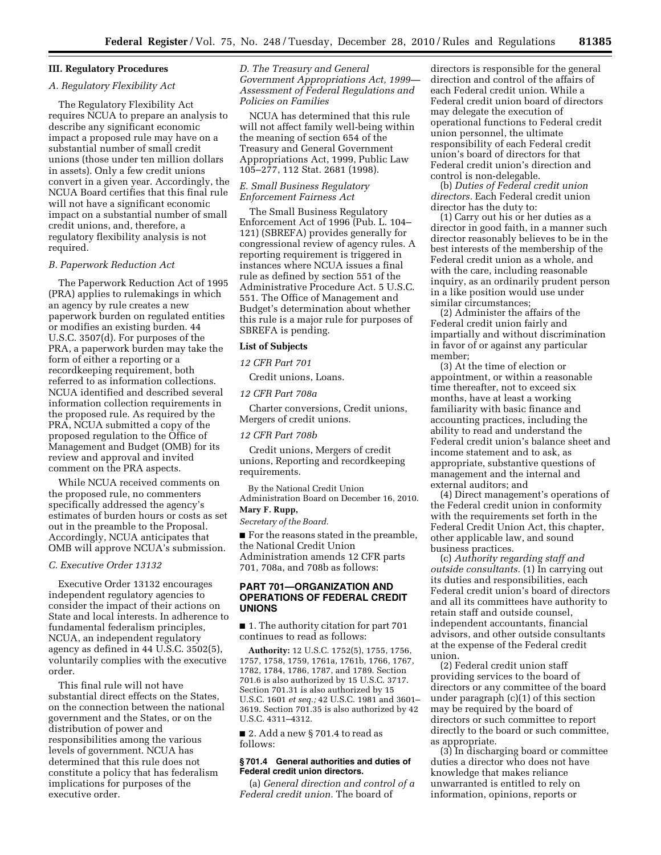# **III. Regulatory Procedures**

## *A. Regulatory Flexibility Act*

The Regulatory Flexibility Act requires NCUA to prepare an analysis to describe any significant economic impact a proposed rule may have on a substantial number of small credit unions (those under ten million dollars in assets). Only a few credit unions convert in a given year. Accordingly, the NCUA Board certifies that this final rule will not have a significant economic impact on a substantial number of small credit unions, and, therefore, a regulatory flexibility analysis is not required.

# *B. Paperwork Reduction Act*

The Paperwork Reduction Act of 1995 (PRA) applies to rulemakings in which an agency by rule creates a new paperwork burden on regulated entities or modifies an existing burden. 44 U.S.C. 3507(d). For purposes of the PRA, a paperwork burden may take the form of either a reporting or a recordkeeping requirement, both referred to as information collections. NCUA identified and described several information collection requirements in the proposed rule. As required by the PRA, NCUA submitted a copy of the proposed regulation to the Office of Management and Budget (OMB) for its review and approval and invited comment on the PRA aspects.

While NCUA received comments on the proposed rule, no commenters specifically addressed the agency's estimates of burden hours or costs as set out in the preamble to the Proposal. Accordingly, NCUA anticipates that OMB will approve NCUA's submission.

#### *C. Executive Order 13132*

Executive Order 13132 encourages independent regulatory agencies to consider the impact of their actions on State and local interests. In adherence to fundamental federalism principles, NCUA, an independent regulatory agency as defined in 44 U.S.C. 3502(5), voluntarily complies with the executive order.

This final rule will not have substantial direct effects on the States, on the connection between the national government and the States, or on the distribution of power and responsibilities among the various levels of government. NCUA has determined that this rule does not constitute a policy that has federalism implications for purposes of the executive order.

*D. The Treasury and General Government Appropriations Act, 1999— Assessment of Federal Regulations and Policies on Families* 

NCUA has determined that this rule will not affect family well-being within the meaning of section 654 of the Treasury and General Government Appropriations Act, 1999, Public Law 105–277, 112 Stat. 2681 (1998).

# *E. Small Business Regulatory Enforcement Fairness Act*

The Small Business Regulatory Enforcement Act of 1996 (Pub. L. 104– 121) (SBREFA) provides generally for congressional review of agency rules. A reporting requirement is triggered in instances where NCUA issues a final rule as defined by section 551 of the Administrative Procedure Act. 5 U.S.C. 551. The Office of Management and Budget's determination about whether this rule is a major rule for purposes of SBREFA is pending.

#### **List of Subjects**

*12 CFR Part 701* 

Credit unions, Loans.

*12 CFR Part 708a* 

Charter conversions, Credit unions, Mergers of credit unions.

#### *12 CFR Part 708b*

Credit unions, Mergers of credit unions, Reporting and recordkeeping requirements.

By the National Credit Union Administration Board on December 16, 2010.

# **Mary F. Rupp,**

*Secretary of the Board.* 

■ For the reasons stated in the preamble, the National Credit Union Administration amends 12 CFR parts 701, 708a, and 708b as follows:

# **PART 701—ORGANIZATION AND OPERATIONS OF FEDERAL CREDIT UNIONS**

■ 1. The authority citation for part 701 continues to read as follows:

**Authority:** 12 U.S.C. 1752(5), 1755, 1756, 1757, 1758, 1759, 1761a, 1761b, 1766, 1767, 1782, 1784, 1786, 1787, and 1789. Section 701.6 is also authorized by 15 U.S.C. 3717. Section 701.31 is also authorized by 15 U.S.C. 1601 *et seq.;* 42 U.S.C. 1981 and 3601– 3619. Section 701.35 is also authorized by 42 U.S.C. 4311–4312.

■ 2. Add a new § 701.4 to read as follows:

#### **§ 701.4 General authorities and duties of Federal credit union directors.**

(a) *General direction and control of a Federal credit union.* The board of

directors is responsible for the general direction and control of the affairs of each Federal credit union. While a Federal credit union board of directors may delegate the execution of operational functions to Federal credit union personnel, the ultimate responsibility of each Federal credit union's board of directors for that Federal credit union's direction and control is non-delegable.

(b) *Duties of Federal credit union directors.* Each Federal credit union director has the duty to:

(1) Carry out his or her duties as a director in good faith, in a manner such director reasonably believes to be in the best interests of the membership of the Federal credit union as a whole, and with the care, including reasonable inquiry, as an ordinarily prudent person in a like position would use under similar circumstances;

(2) Administer the affairs of the Federal credit union fairly and impartially and without discrimination in favor of or against any particular member;

(3) At the time of election or appointment, or within a reasonable time thereafter, not to exceed six months, have at least a working familiarity with basic finance and accounting practices, including the ability to read and understand the Federal credit union's balance sheet and income statement and to ask, as appropriate, substantive questions of management and the internal and external auditors; and

(4) Direct management's operations of the Federal credit union in conformity with the requirements set forth in the Federal Credit Union Act, this chapter, other applicable law, and sound business practices.

(c) *Authority regarding staff and outside consultants.* (1) In carrying out its duties and responsibilities, each Federal credit union's board of directors and all its committees have authority to retain staff and outside counsel, independent accountants, financial advisors, and other outside consultants at the expense of the Federal credit union.

(2) Federal credit union staff providing services to the board of directors or any committee of the board under paragraph (c)(1) of this section may be required by the board of directors or such committee to report directly to the board or such committee, as appropriate.

(3) In discharging board or committee duties a director who does not have knowledge that makes reliance unwarranted is entitled to rely on information, opinions, reports or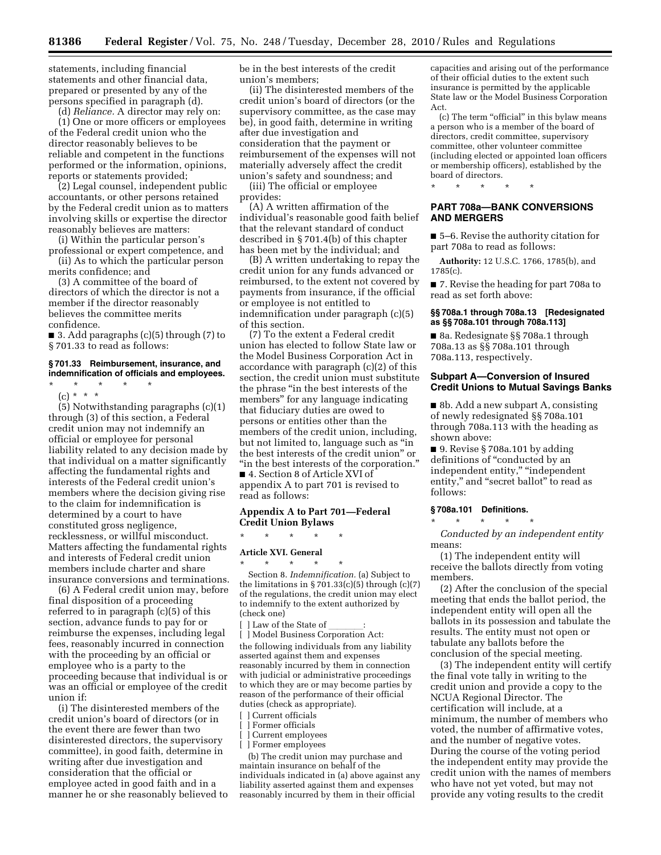statements, including financial statements and other financial data, prepared or presented by any of the persons specified in paragraph (d).

(d) *Reliance.* A director may rely on:

(1) One or more officers or employees of the Federal credit union who the director reasonably believes to be reliable and competent in the functions performed or the information, opinions, reports or statements provided;

(2) Legal counsel, independent public accountants, or other persons retained by the Federal credit union as to matters involving skills or expertise the director reasonably believes are matters:

(i) Within the particular person's professional or expert competence, and

(ii) As to which the particular person merits confidence; and

(3) A committee of the board of directors of which the director is not a member if the director reasonably believes the committee merits confidence.

■ 3. Add paragraphs (c)(5) through (7) to § 701.33 to read as follows:

#### **§ 701.33 Reimbursement, insurance, and indemnification of officials and employees.**

\* \* \* \* \* (c) \* \* \*

(5) Notwithstanding paragraphs (c)(1) through (3) of this section, a Federal credit union may not indemnify an official or employee for personal liability related to any decision made by that individual on a matter significantly affecting the fundamental rights and interests of the Federal credit union's members where the decision giving rise to the claim for indemnification is determined by a court to have constituted gross negligence, recklessness, or willful misconduct. Matters affecting the fundamental rights and interests of Federal credit union members include charter and share insurance conversions and terminations.

(6) A Federal credit union may, before final disposition of a proceeding referred to in paragraph (c)(5) of this section, advance funds to pay for or reimburse the expenses, including legal fees, reasonably incurred in connection with the proceeding by an official or employee who is a party to the proceeding because that individual is or was an official or employee of the credit union if:

(i) The disinterested members of the credit union's board of directors (or in the event there are fewer than two disinterested directors, the supervisory committee), in good faith, determine in writing after due investigation and consideration that the official or employee acted in good faith and in a manner he or she reasonably believed to be in the best interests of the credit union's members;

(ii) The disinterested members of the credit union's board of directors (or the supervisory committee, as the case may be), in good faith, determine in writing after due investigation and consideration that the payment or reimbursement of the expenses will not materially adversely affect the credit union's safety and soundness; and

(iii) The official or employee provides:

(A) A written affirmation of the individual's reasonable good faith belief that the relevant standard of conduct described in § 701.4(b) of this chapter has been met by the individual; and

(B) A written undertaking to repay the credit union for any funds advanced or reimbursed, to the extent not covered by payments from insurance, if the official or employee is not entitled to indemnification under paragraph (c)(5) of this section.

(7) To the extent a Federal credit union has elected to follow State law or the Model Business Corporation Act in accordance with paragraph (c)(2) of this section, the credit union must substitute the phrase ''in the best interests of the members'' for any language indicating that fiduciary duties are owed to persons or entities other than the members of the credit union, including, but not limited to, language such as ''in the best interests of the credit union'' or ''in the best interests of the corporation.'' ■ 4. Section 8 of Article XVI of

appendix A to part 701 is revised to read as follows:

## **Appendix A to Part 701—Federal Credit Union Bylaws**

\* \* \* \* \*

#### **Article XVI. General**

\* \* \* \* \* Section 8. *Indemnification.* (a) Subject to the limitations in § 701.33 $(c)(5)$  through  $(c)(7)$ of the regulations, the credit union may elect to indemnify to the extent authorized by (check one)

[ ] Law of the State of \_\_\_\_\_\_\_:<br>[ ] Model Business Corporation Act: the following individuals from any liability asserted against them and expenses reasonably incurred by them in connection with judicial or administrative proceedings to which they are or may become parties by reason of the performance of their official duties (check as appropriate).

- [ **] Current officials**
- Former officials
- Current employees
- [ ] Former employees

(b) The credit union may purchase and maintain insurance on behalf of the individuals indicated in (a) above against any liability asserted against them and expenses reasonably incurred by them in their official

capacities and arising out of the performance of their official duties to the extent such insurance is permitted by the applicable State law or the Model Business Corporation Act.

(c) The term ''official'' in this bylaw means a person who is a member of the board of directors, credit committee, supervisory committee, other volunteer committee (including elected or appointed loan officers or membership officers), established by the board of directors.

\* \* \* \* \*

# **PART 708a—BANK CONVERSIONS AND MERGERS**

■ 5–6. Revise the authority citation for part 708a to read as follows:

**Authority:** 12 U.S.C. 1766, 1785(b), and 1785(c).

■ 7. Revise the heading for part 708a to read as set forth above:

#### **§§ 708a.1 through 708a.13 [Redesignated as §§ 708a.101 through 708a.113]**

■ 8a. Redesignate §§ 708a.1 through 708a.13 as §§ 708a.101 through 708a.113, respectively.

## **Subpart A—Conversion of Insured Credit Unions to Mutual Savings Banks**

■ 8b. Add a new subpart A, consisting of newly redesignated §§ 708a.101 through 708a.113 with the heading as shown above:

■ 9. Revise § 708a.101 by adding definitions of "conducted by an independent entity,'' ''independent entity," and "secret ballot" to read as follows:

# **§ 708a.101 Definitions.**

\* \* \* \* \*

*Conducted by an independent entity*  means:

(1) The independent entity will receive the ballots directly from voting members.

(2) After the conclusion of the special meeting that ends the ballot period, the independent entity will open all the ballots in its possession and tabulate the results. The entity must not open or tabulate any ballots before the conclusion of the special meeting.

(3) The independent entity will certify the final vote tally in writing to the credit union and provide a copy to the NCUA Regional Director. The certification will include, at a minimum, the number of members who voted, the number of affirmative votes, and the number of negative votes. During the course of the voting period the independent entity may provide the credit union with the names of members who have not yet voted, but may not provide any voting results to the credit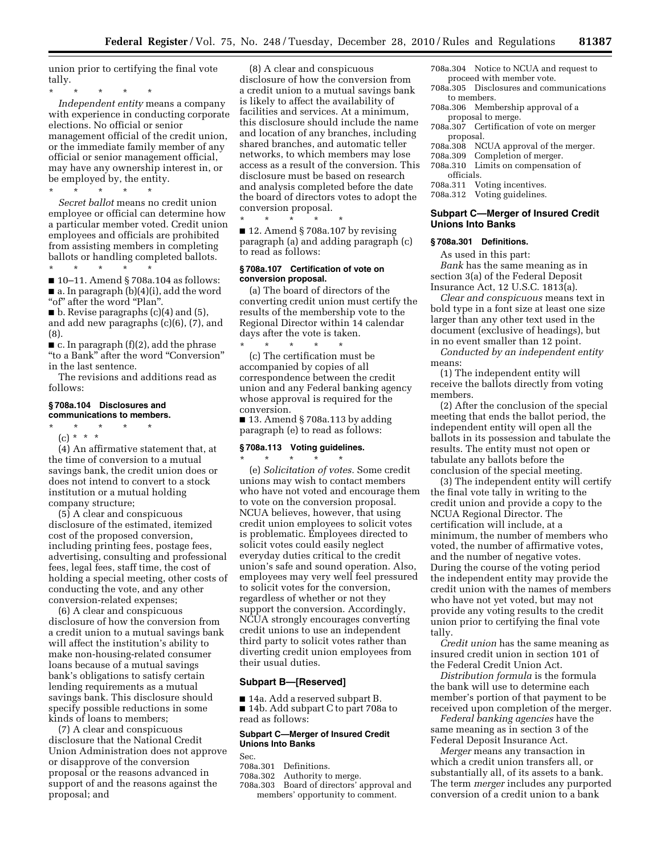union prior to certifying the final vote tally.

\* \* \* \* \* *Independent entity* means a company with experience in conducting corporate elections. No official or senior management official of the credit union, or the immediate family member of any official or senior management official, may have any ownership interest in, or be employed by, the entity. \* \* \* \* \*

*Secret ballot* means no credit union employee or official can determine how a particular member voted. Credit union employees and officials are prohibited from assisting members in completing ballots or handling completed ballots. \* \* \* \* \*

■ 10–11. Amend § 708a.104 as follows:  $\blacksquare$  a. In paragraph (b)(4)(i), add the word "of" after the word "Plan".

 $\blacksquare$  b. Revise paragraphs (c)(4) and (5), and add new paragraphs (c)(6), (7), and (8).

 $\blacksquare$  c. In paragraph (f)(2), add the phrase ''to a Bank'' after the word ''Conversion'' in the last sentence.

The revisions and additions read as follows:

#### **§ 708a.104 Disclosures and communications to members.**

\* \* \* \* \*

(c) \* \* \*

(4) An affirmative statement that, at the time of conversion to a mutual savings bank, the credit union does or does not intend to convert to a stock institution or a mutual holding company structure;

(5) A clear and conspicuous disclosure of the estimated, itemized cost of the proposed conversion, including printing fees, postage fees, advertising, consulting and professional fees, legal fees, staff time, the cost of holding a special meeting, other costs of conducting the vote, and any other conversion-related expenses;

(6) A clear and conspicuous disclosure of how the conversion from a credit union to a mutual savings bank will affect the institution's ability to make non-housing-related consumer loans because of a mutual savings bank's obligations to satisfy certain lending requirements as a mutual savings bank. This disclosure should specify possible reductions in some kinds of loans to members;

(7) A clear and conspicuous disclosure that the National Credit Union Administration does not approve or disapprove of the conversion proposal or the reasons advanced in support of and the reasons against the proposal; and

(8) A clear and conspicuous disclosure of how the conversion from a credit union to a mutual savings bank is likely to affect the availability of facilities and services. At a minimum, this disclosure should include the name and location of any branches, including shared branches, and automatic teller networks, to which members may lose access as a result of the conversion. This disclosure must be based on research and analysis completed before the date the board of directors votes to adopt the conversion proposal.

\* \* \* \* \* ■ 12. Amend § 708a.107 by revising paragraph (a) and adding paragraph (c) to read as follows:

# **§ 708a.107 Certification of vote on conversion proposal.**

(a) The board of directors of the converting credit union must certify the results of the membership vote to the Regional Director within 14 calendar days after the vote is taken.

\* \* \* \* \* (c) The certification must be accompanied by copies of all correspondence between the credit union and any Federal banking agency whose approval is required for the conversion.

 $\blacksquare$  13. Amend § 708a.113 by adding paragraph (e) to read as follows:

## **§ 708a.113 Voting guidelines.**  \* \* \* \* \*

(e) *Solicitation of votes.* Some credit unions may wish to contact members who have not voted and encourage them to vote on the conversion proposal. NCUA believes, however, that using credit union employees to solicit votes is problematic. Employees directed to solicit votes could easily neglect everyday duties critical to the credit union's safe and sound operation. Also, employees may very well feel pressured to solicit votes for the conversion, regardless of whether or not they support the conversion. Accordingly, NCUA strongly encourages converting credit unions to use an independent third party to solicit votes rather than diverting credit union employees from their usual duties.

# **Subpart B—[Reserved]**

■ 14a. Add a reserved subpart B. ■ 14b. Add subpart C to part 708a to read as follows:

# **Subpart C—Merger of Insured Credit Unions Into Banks**

Sec.

- 708a.301 Definitions.
- 708a.302 Authority to merge.
- 708a.303 Board of directors' approval and members' opportunity to comment.
- 708a.304 Notice to NCUA and request to proceed with member vote.
- 708a.305 Disclosures and communications to members.
- 708a.306 Membership approval of a proposal to merge.
- 708a.307 Certification of vote on merger proposal.
- 708a.308 NCUA approval of the merger.
- 
- 708a.309 Completion of merger. Limits on compensation of officials.
- 708a.311 Voting incentives.
- 708a.312 Voting guidelines.

# **Subpart C—Merger of Insured Credit Unions Into Banks**

## **§ 708a.301 Definitions.**

As used in this part:

*Bank* has the same meaning as in section 3(a) of the Federal Deposit Insurance Act, 12 U.S.C. 1813(a).

*Clear and conspicuous* means text in bold type in a font size at least one size larger than any other text used in the document (exclusive of headings), but in no event smaller than 12 point.

*Conducted by an independent entity*  means:

(1) The independent entity will receive the ballots directly from voting members.

(2) After the conclusion of the special meeting that ends the ballot period, the independent entity will open all the ballots in its possession and tabulate the results. The entity must not open or tabulate any ballots before the conclusion of the special meeting.

(3) The independent entity will certify the final vote tally in writing to the credit union and provide a copy to the NCUA Regional Director. The certification will include, at a minimum, the number of members who voted, the number of affirmative votes, and the number of negative votes. During the course of the voting period the independent entity may provide the credit union with the names of members who have not yet voted, but may not provide any voting results to the credit union prior to certifying the final vote tally.

*Credit union* has the same meaning as insured credit union in section 101 of the Federal Credit Union Act.

*Distribution formula* is the formula the bank will use to determine each member's portion of that payment to be received upon completion of the merger.

*Federal banking agencies* have the same meaning as in section 3 of the Federal Deposit Insurance Act.

*Merger* means any transaction in which a credit union transfers all, or substantially all, of its assets to a bank. The term *merger* includes any purported conversion of a credit union to a bank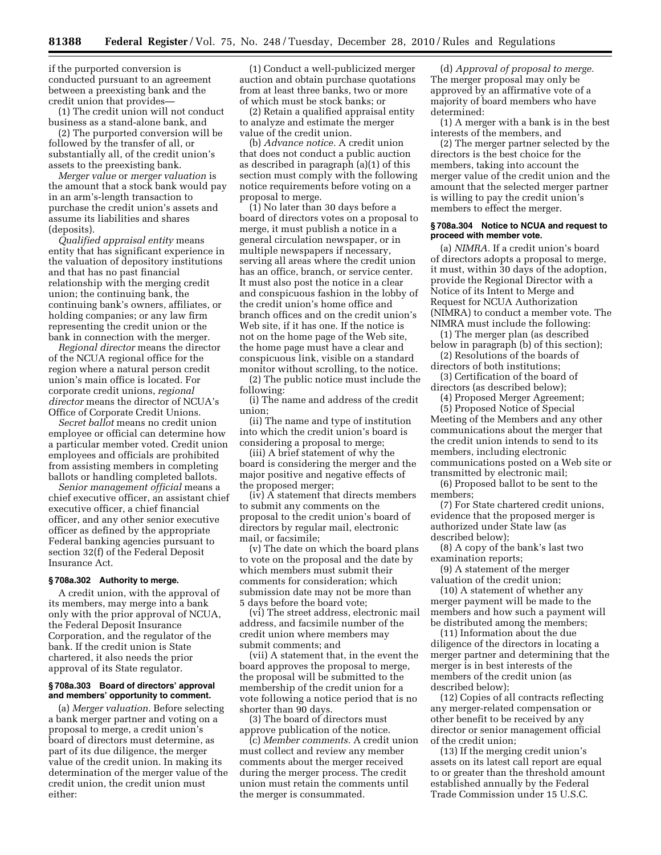if the purported conversion is conducted pursuant to an agreement between a preexisting bank and the credit union that provides—

(1) The credit union will not conduct business as a stand-alone bank, and

(2) The purported conversion will be followed by the transfer of all, or substantially all, of the credit union's assets to the preexisting bank.

*Merger value* or *merger valuation* is the amount that a stock bank would pay in an arm's-length transaction to purchase the credit union's assets and assume its liabilities and shares (deposits).

*Qualified appraisal entity* means entity that has significant experience in the valuation of depository institutions and that has no past financial relationship with the merging credit union; the continuing bank, the continuing bank's owners, affiliates, or holding companies; or any law firm representing the credit union or the bank in connection with the merger.

*Regional director* means the director of the NCUA regional office for the region where a natural person credit union's main office is located. For corporate credit unions, *regional director* means the director of NCUA's Office of Corporate Credit Unions.

*Secret ballot* means no credit union employee or official can determine how a particular member voted. Credit union employees and officials are prohibited from assisting members in completing ballots or handling completed ballots.

*Senior management official* means a chief executive officer, an assistant chief executive officer, a chief financial officer, and any other senior executive officer as defined by the appropriate Federal banking agencies pursuant to section 32(f) of the Federal Deposit Insurance Act.

### **§ 708a.302 Authority to merge.**

A credit union, with the approval of its members, may merge into a bank only with the prior approval of NCUA, the Federal Deposit Insurance Corporation, and the regulator of the bank. If the credit union is State chartered, it also needs the prior approval of its State regulator.

#### **§ 708a.303 Board of directors' approval and members' opportunity to comment.**

(a) *Merger valuation.* Before selecting a bank merger partner and voting on a proposal to merge, a credit union's board of directors must determine, as part of its due diligence, the merger value of the credit union. In making its determination of the merger value of the credit union, the credit union must either:

(1) Conduct a well-publicized merger auction and obtain purchase quotations from at least three banks, two or more of which must be stock banks; or

(2) Retain a qualified appraisal entity to analyze and estimate the merger value of the credit union.

(b) *Advance notice.* A credit union that does not conduct a public auction as described in paragraph (a)(1) of this section must comply with the following notice requirements before voting on a proposal to merge.

(1) No later than 30 days before a board of directors votes on a proposal to merge, it must publish a notice in a general circulation newspaper, or in multiple newspapers if necessary, serving all areas where the credit union has an office, branch, or service center. It must also post the notice in a clear and conspicuous fashion in the lobby of the credit union's home office and branch offices and on the credit union's Web site, if it has one. If the notice is not on the home page of the Web site, the home page must have a clear and conspicuous link, visible on a standard monitor without scrolling, to the notice.

(2) The public notice must include the following:

(i) The name and address of the credit union;

(ii) The name and type of institution into which the credit union's board is considering a proposal to merge;

(iii) A brief statement of why the board is considering the merger and the major positive and negative effects of the proposed merger;

(iv) A statement that directs members to submit any comments on the proposal to the credit union's board of directors by regular mail, electronic mail, or facsimile;

(v) The date on which the board plans to vote on the proposal and the date by which members must submit their comments for consideration; which submission date may not be more than 5 days before the board vote;

(vi) The street address, electronic mail address, and facsimile number of the credit union where members may submit comments; and

(vii) A statement that, in the event the board approves the proposal to merge, the proposal will be submitted to the membership of the credit union for a vote following a notice period that is no shorter than 90 days.

(3) The board of directors must approve publication of the notice.

(c) *Member comments.* A credit union must collect and review any member comments about the merger received during the merger process. The credit union must retain the comments until the merger is consummated.

(d) *Approval of proposal to merge.*  The merger proposal may only be approved by an affirmative vote of a majority of board members who have determined:

(1) A merger with a bank is in the best interests of the members, and

(2) The merger partner selected by the directors is the best choice for the members, taking into account the merger value of the credit union and the amount that the selected merger partner is willing to pay the credit union's members to effect the merger.

## **§ 708a.304 Notice to NCUA and request to proceed with member vote.**

(a) *NIMRA.* If a credit union's board of directors adopts a proposal to merge, it must, within 30 days of the adoption, provide the Regional Director with a Notice of its Intent to Merge and Request for NCUA Authorization (NIMRA) to conduct a member vote. The NIMRA must include the following:

(1) The merger plan (as described below in paragraph (b) of this section); (2) Resolutions of the boards of

directors of both institutions;

(3) Certification of the board of directors (as described below);

(4) Proposed Merger Agreement;

(5) Proposed Notice of Special Meeting of the Members and any other communications about the merger that the credit union intends to send to its members, including electronic communications posted on a Web site or transmitted by electronic mail;

(6) Proposed ballot to be sent to the members;

(7) For State chartered credit unions, evidence that the proposed merger is authorized under State law (as described below);

(8) A copy of the bank's last two examination reports;

(9) A statement of the merger valuation of the credit union;

(10) A statement of whether any merger payment will be made to the members and how such a payment will be distributed among the members;

(11) Information about the due diligence of the directors in locating a merger partner and determining that the merger is in best interests of the members of the credit union (as described below);

(12) Copies of all contracts reflecting any merger-related compensation or other benefit to be received by any director or senior management official of the credit union;

(13) If the merging credit union's assets on its latest call report are equal to or greater than the threshold amount established annually by the Federal Trade Commission under 15 U.S.C.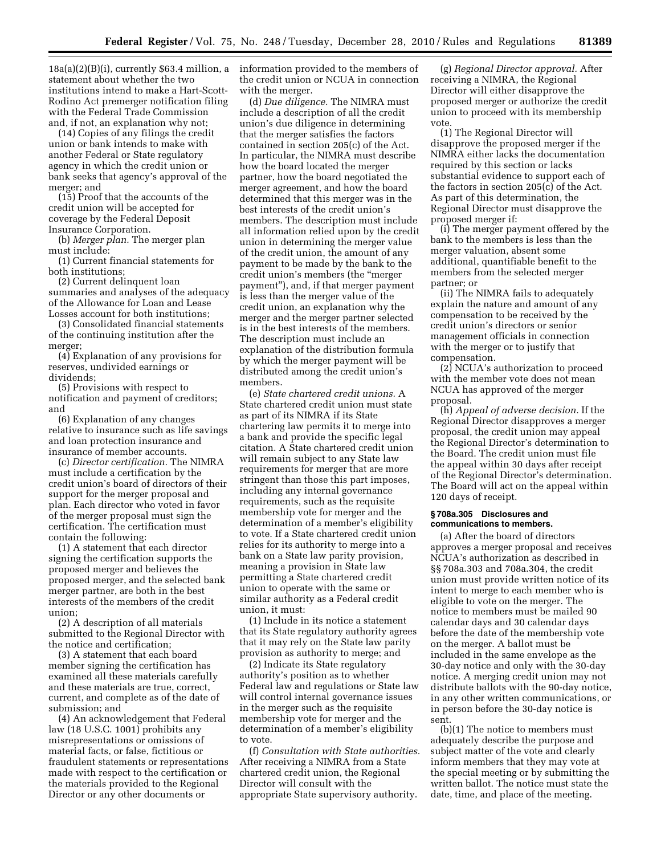18a(a)(2)(B)(i), currently \$63.4 million, a statement about whether the two institutions intend to make a Hart-Scott-Rodino Act premerger notification filing with the Federal Trade Commission and, if not, an explanation why not;

(14) Copies of any filings the credit union or bank intends to make with another Federal or State regulatory agency in which the credit union or bank seeks that agency's approval of the merger; and

(15) Proof that the accounts of the credit union will be accepted for coverage by the Federal Deposit Insurance Corporation.

(b) *Merger plan.* The merger plan must include:

(1) Current financial statements for both institutions;

(2) Current delinquent loan summaries and analyses of the adequacy of the Allowance for Loan and Lease Losses account for both institutions;

(3) Consolidated financial statements of the continuing institution after the merger;

(4) Explanation of any provisions for reserves, undivided earnings or dividends;

(5) Provisions with respect to notification and payment of creditors; and

(6) Explanation of any changes relative to insurance such as life savings and loan protection insurance and insurance of member accounts.

(c) *Director certification.* The NIMRA must include a certification by the credit union's board of directors of their support for the merger proposal and plan. Each director who voted in favor of the merger proposal must sign the certification. The certification must contain the following:

(1) A statement that each director signing the certification supports the proposed merger and believes the proposed merger, and the selected bank merger partner, are both in the best interests of the members of the credit union;

(2) A description of all materials submitted to the Regional Director with the notice and certification;

(3) A statement that each board member signing the certification has examined all these materials carefully and these materials are true, correct, current, and complete as of the date of submission; and

(4) An acknowledgement that Federal law (18 U.S.C. 1001) prohibits any misrepresentations or omissions of material facts, or false, fictitious or fraudulent statements or representations made with respect to the certification or the materials provided to the Regional Director or any other documents or

information provided to the members of the credit union or NCUA in connection with the merger.

(d) *Due diligence.* The NIMRA must include a description of all the credit union's due diligence in determining that the merger satisfies the factors contained in section 205(c) of the Act. In particular, the NIMRA must describe how the board located the merger partner, how the board negotiated the merger agreement, and how the board determined that this merger was in the best interests of the credit union's members. The description must include all information relied upon by the credit union in determining the merger value of the credit union, the amount of any payment to be made by the bank to the credit union's members (the ''merger payment''), and, if that merger payment is less than the merger value of the credit union, an explanation why the merger and the merger partner selected is in the best interests of the members. The description must include an explanation of the distribution formula by which the merger payment will be distributed among the credit union's members.

(e) *State chartered credit unions.* A State chartered credit union must state as part of its NIMRA if its State chartering law permits it to merge into a bank and provide the specific legal citation. A State chartered credit union will remain subject to any State law requirements for merger that are more stringent than those this part imposes, including any internal governance requirements, such as the requisite membership vote for merger and the determination of a member's eligibility to vote. If a State chartered credit union relies for its authority to merge into a bank on a State law parity provision, meaning a provision in State law permitting a State chartered credit union to operate with the same or similar authority as a Federal credit union, it must:

(1) Include in its notice a statement that its State regulatory authority agrees that it may rely on the State law parity provision as authority to merge; and

(2) Indicate its State regulatory authority's position as to whether Federal law and regulations or State law will control internal governance issues in the merger such as the requisite membership vote for merger and the determination of a member's eligibility to vote.

(f) *Consultation with State authorities.*  After receiving a NIMRA from a State chartered credit union, the Regional Director will consult with the appropriate State supervisory authority.

(g) *Regional Director approval.* After receiving a NIMRA, the Regional Director will either disapprove the proposed merger or authorize the credit union to proceed with its membership vote.

(1) The Regional Director will disapprove the proposed merger if the NIMRA either lacks the documentation required by this section or lacks substantial evidence to support each of the factors in section 205(c) of the Act. As part of this determination, the Regional Director must disapprove the proposed merger if:

(i) The merger payment offered by the bank to the members is less than the merger valuation, absent some additional, quantifiable benefit to the members from the selected merger partner; or

(ii) The NIMRA fails to adequately explain the nature and amount of any compensation to be received by the credit union's directors or senior management officials in connection with the merger or to justify that compensation.

(2) NCUA's authorization to proceed with the member vote does not mean NCUA has approved of the merger proposal.

(h) *Appeal of adverse decision.* If the Regional Director disapproves a merger proposal, the credit union may appeal the Regional Director's determination to the Board. The credit union must file the appeal within 30 days after receipt of the Regional Director's determination. The Board will act on the appeal within 120 days of receipt.

#### **§ 708a.305 Disclosures and communications to members.**

(a) After the board of directors approves a merger proposal and receives NCUA's authorization as described in §§ 708a.303 and 708a.304, the credit union must provide written notice of its intent to merge to each member who is eligible to vote on the merger. The notice to members must be mailed 90 calendar days and 30 calendar days before the date of the membership vote on the merger. A ballot must be included in the same envelope as the 30-day notice and only with the 30-day notice. A merging credit union may not distribute ballots with the 90-day notice, in any other written communications, or in person before the 30-day notice is sent.

(b)(1) The notice to members must adequately describe the purpose and subject matter of the vote and clearly inform members that they may vote at the special meeting or by submitting the written ballot. The notice must state the date, time, and place of the meeting.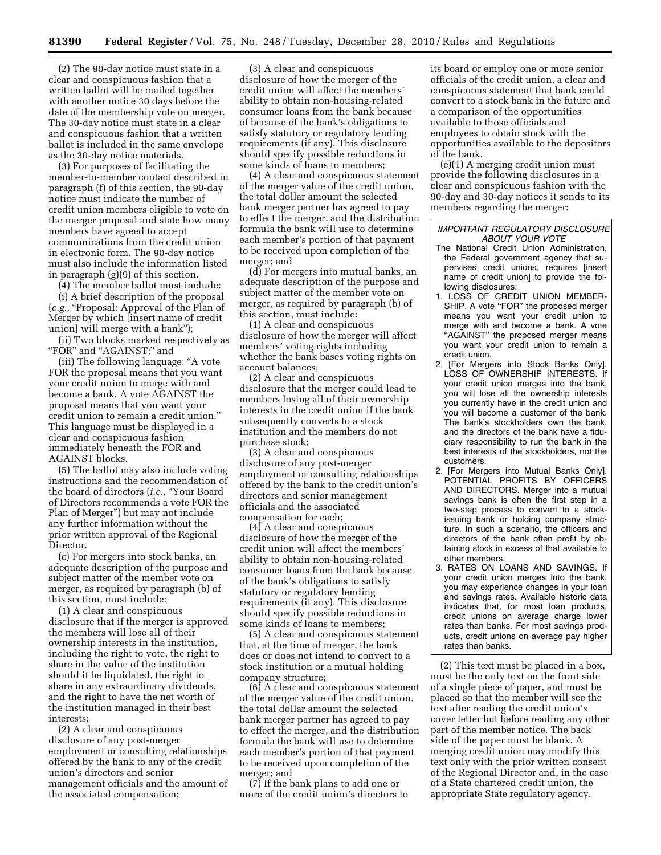(2) The 90-day notice must state in a clear and conspicuous fashion that a written ballot will be mailed together with another notice 30 days before the date of the membership vote on merger. The 30-day notice must state in a clear and conspicuous fashion that a written ballot is included in the same envelope as the 30-day notice materials.

(3) For purposes of facilitating the member-to-member contact described in paragraph (f) of this section, the 90-day notice must indicate the number of credit union members eligible to vote on the merger proposal and state how many members have agreed to accept communications from the credit union in electronic form. The 90-day notice must also include the information listed in paragraph (g)(9) of this section.

(4) The member ballot must include:

(i) A brief description of the proposal (*e.g.,* ''Proposal: Approval of the Plan of Merger by which [insert name of credit union] will merge with a bank'');

(ii) Two blocks marked respectively as "FOR" and "AGAINST;" and

(iii) The following language: ''A vote FOR the proposal means that you want your credit union to merge with and become a bank. A vote AGAINST the proposal means that you want your credit union to remain a credit union.'' This language must be displayed in a clear and conspicuous fashion immediately beneath the FOR and AGAINST blocks.

(5) The ballot may also include voting instructions and the recommendation of the board of directors (*i.e.,* "Your Board of Directors recommends a vote FOR the Plan of Merger'') but may not include any further information without the prior written approval of the Regional Director.

(c) For mergers into stock banks, an adequate description of the purpose and subject matter of the member vote on merger, as required by paragraph (b) of this section, must include:

(1) A clear and conspicuous disclosure that if the merger is approved the members will lose all of their ownership interests in the institution, including the right to vote, the right to share in the value of the institution should it be liquidated, the right to share in any extraordinary dividends, and the right to have the net worth of the institution managed in their best interests;

(2) A clear and conspicuous disclosure of any post-merger employment or consulting relationships offered by the bank to any of the credit union's directors and senior management officials and the amount of the associated compensation;

(3) A clear and conspicuous disclosure of how the merger of the credit union will affect the members' ability to obtain non-housing-related consumer loans from the bank because of because of the bank's obligations to satisfy statutory or regulatory lending requirements (if any). This disclosure should specify possible reductions in some kinds of loans to members;

(4) A clear and conspicuous statement of the merger value of the credit union, the total dollar amount the selected bank merger partner has agreed to pay to effect the merger, and the distribution formula the bank will use to determine each member's portion of that payment to be received upon completion of the merger; and

(d) For mergers into mutual banks, an adequate description of the purpose and subject matter of the member vote on merger, as required by paragraph (b) of this section, must include:

(1) A clear and conspicuous disclosure of how the merger will affect members' voting rights including whether the bank bases voting rights on account balances;

(2) A clear and conspicuous disclosure that the merger could lead to members losing all of their ownership interests in the credit union if the bank subsequently converts to a stock institution and the members do not purchase stock;

(3) A clear and conspicuous disclosure of any post-merger employment or consulting relationships offered by the bank to the credit union's directors and senior management officials and the associated compensation for each;

(4) A clear and conspicuous disclosure of how the merger of the credit union will affect the members' ability to obtain non-housing-related consumer loans from the bank because of the bank's obligations to satisfy statutory or regulatory lending requirements (if any). This disclosure should specify possible reductions in some kinds of loans to members;

(5) A clear and conspicuous statement that, at the time of merger, the bank does or does not intend to convert to a stock institution or a mutual holding company structure;

(6) A clear and conspicuous statement of the merger value of the credit union, the total dollar amount the selected bank merger partner has agreed to pay to effect the merger, and the distribution formula the bank will use to determine each member's portion of that payment to be received upon completion of the merger; and

(7) If the bank plans to add one or more of the credit union's directors to its board or employ one or more senior officials of the credit union, a clear and conspicuous statement that bank could convert to a stock bank in the future and a comparison of the opportunities available to those officials and employees to obtain stock with the opportunities available to the depositors of the bank.

(e)(1) A merging credit union must provide the following disclosures in a clear and conspicuous fashion with the 90-day and 30-day notices it sends to its members regarding the merger:

#### *IMPORTANT REGULATORY DISCLOSURE ABOUT YOUR VOTE*

- The National Credit Union Administration, the Federal government agency that supervises credit unions, requires [insert name of credit union] to provide the following disclosures:
- 1. LOSS OF CREDIT UNION MEMBER-SHIP. A vote "FOR" the proposed merger means you want your credit union to merge with and become a bank. A vote "AGAINST" the proposed merger means you want your credit union to remain a credit union.
- 2. [For Mergers into Stock Banks Only]. LOSS OF OWNERSHIP INTERESTS. If your credit union merges into the bank, you will lose all the ownership interests you currently have in the credit union and you will become a customer of the bank. The bank's stockholders own the bank, and the directors of the bank have a fiduciary responsibility to run the bank in the best interests of the stockholders, not the customers.
- 2. [For Mergers into Mutual Banks Only]. POTENTIAL PROFITS BY OFFICERS AND DIRECTORS. Merger into a mutual savings bank is often the first step in a two-step process to convert to a stockissuing bank or holding company structure. In such a scenario, the officers and directors of the bank often profit by obtaining stock in excess of that available to other members.
- 3. RATES ON LOANS AND SAVINGS. If your credit union merges into the bank, you may experience changes in your loan and savings rates. Available historic data indicates that, for most loan products, credit unions on average charge lower rates than banks. For most savings products, credit unions on average pay higher rates than banks.

(2) This text must be placed in a box, must be the only text on the front side of a single piece of paper, and must be placed so that the member will see the text after reading the credit union's cover letter but before reading any other part of the member notice. The back side of the paper must be blank. A merging credit union may modify this text only with the prior written consent of the Regional Director and, in the case of a State chartered credit union, the appropriate State regulatory agency.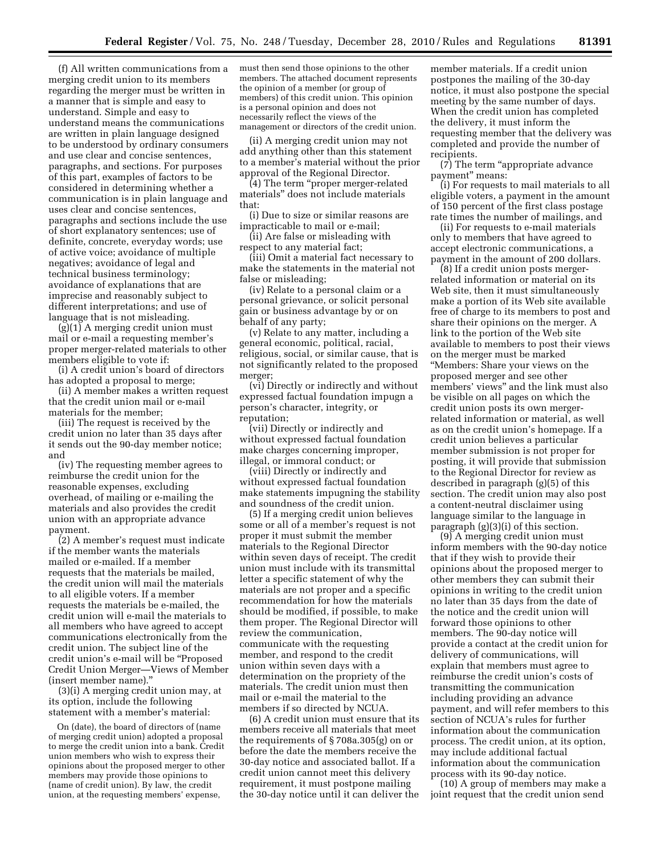(f) All written communications from a merging credit union to its members regarding the merger must be written in a manner that is simple and easy to understand. Simple and easy to understand means the communications are written in plain language designed to be understood by ordinary consumers and use clear and concise sentences, paragraphs, and sections. For purposes of this part, examples of factors to be considered in determining whether a communication is in plain language and uses clear and concise sentences, paragraphs and sections include the use of short explanatory sentences; use of definite, concrete, everyday words; use of active voice; avoidance of multiple negatives; avoidance of legal and technical business terminology; avoidance of explanations that are imprecise and reasonably subject to different interpretations; and use of language that is not misleading.

 $(g)(1)$  A merging credit union must mail or e-mail a requesting member's proper merger-related materials to other members eligible to vote if:

(i) A credit union's board of directors has adopted a proposal to merge;

(ii) A member makes a written request that the credit union mail or e-mail materials for the member;

(iii) The request is received by the credit union no later than 35 days after it sends out the 90-day member notice; and

(iv) The requesting member agrees to reimburse the credit union for the reasonable expenses, excluding overhead, of mailing or e-mailing the materials and also provides the credit union with an appropriate advance payment.

(2) A member's request must indicate if the member wants the materials mailed or e-mailed. If a member requests that the materials be mailed, the credit union will mail the materials to all eligible voters. If a member requests the materials be e-mailed, the credit union will e-mail the materials to all members who have agreed to accept communications electronically from the credit union. The subject line of the credit union's e-mail will be ''Proposed Credit Union Merger—Views of Member (insert member name).''

(3)(i) A merging credit union may, at its option, include the following statement with a member's material:

On (date), the board of directors of (name of merging credit union) adopted a proposal to merge the credit union into a bank. Credit union members who wish to express their opinions about the proposed merger to other members may provide those opinions to (name of credit union). By law, the credit union, at the requesting members' expense,

must then send those opinions to the other members. The attached document represents the opinion of a member (or group of members) of this credit union. This opinion is a personal opinion and does not necessarily reflect the views of the management or directors of the credit union.

(ii) A merging credit union may not add anything other than this statement to a member's material without the prior approval of the Regional Director.

(4) The term ''proper merger-related materials'' does not include materials that:

(i) Due to size or similar reasons are impracticable to mail or e-mail;

(ii) Are false or misleading with respect to any material fact;

(iii) Omit a material fact necessary to make the statements in the material not false or misleading;

(iv) Relate to a personal claim or a personal grievance, or solicit personal gain or business advantage by or on behalf of any party;

(v) Relate to any matter, including a general economic, political, racial, religious, social, or similar cause, that is not significantly related to the proposed merger;

(vi) Directly or indirectly and without expressed factual foundation impugn a person's character, integrity, or reputation;

(vii) Directly or indirectly and without expressed factual foundation make charges concerning improper, illegal, or immoral conduct; or

(viii) Directly or indirectly and without expressed factual foundation make statements impugning the stability and soundness of the credit union.

(5) If a merging credit union believes some or all of a member's request is not proper it must submit the member materials to the Regional Director within seven days of receipt. The credit union must include with its transmittal letter a specific statement of why the materials are not proper and a specific recommendation for how the materials should be modified, if possible, to make them proper. The Regional Director will review the communication, communicate with the requesting member, and respond to the credit union within seven days with a determination on the propriety of the materials. The credit union must then mail or e-mail the material to the members if so directed by NCUA.

(6) A credit union must ensure that its members receive all materials that meet the requirements of § 708a.305(g) on or before the date the members receive the 30-day notice and associated ballot. If a credit union cannot meet this delivery requirement, it must postpone mailing the 30-day notice until it can deliver the

member materials. If a credit union postpones the mailing of the 30-day notice, it must also postpone the special meeting by the same number of days. When the credit union has completed the delivery, it must inform the requesting member that the delivery was completed and provide the number of recipients.

(7) The term ''appropriate advance payment'' means:

(i) For requests to mail materials to all eligible voters, a payment in the amount of 150 percent of the first class postage rate times the number of mailings, and

(ii) For requests to e-mail materials only to members that have agreed to accept electronic communications, a payment in the amount of 200 dollars.

(8) If a credit union posts mergerrelated information or material on its Web site, then it must simultaneously make a portion of its Web site available free of charge to its members to post and share their opinions on the merger. A link to the portion of the Web site available to members to post their views on the merger must be marked ''Members: Share your views on the proposed merger and see other members' views'' and the link must also be visible on all pages on which the credit union posts its own mergerrelated information or material, as well as on the credit union's homepage. If a credit union believes a particular member submission is not proper for posting, it will provide that submission to the Regional Director for review as described in paragraph (g)(5) of this section. The credit union may also post a content-neutral disclaimer using language similar to the language in paragraph (g)(3)(i) of this section.

(9) A merging credit union must inform members with the 90-day notice that if they wish to provide their opinions about the proposed merger to other members they can submit their opinions in writing to the credit union no later than 35 days from the date of the notice and the credit union will forward those opinions to other members. The 90-day notice will provide a contact at the credit union for delivery of communications, will explain that members must agree to reimburse the credit union's costs of transmitting the communication including providing an advance payment, and will refer members to this section of NCUA's rules for further information about the communication process. The credit union, at its option, may include additional factual information about the communication process with its 90-day notice.

(10) A group of members may make a joint request that the credit union send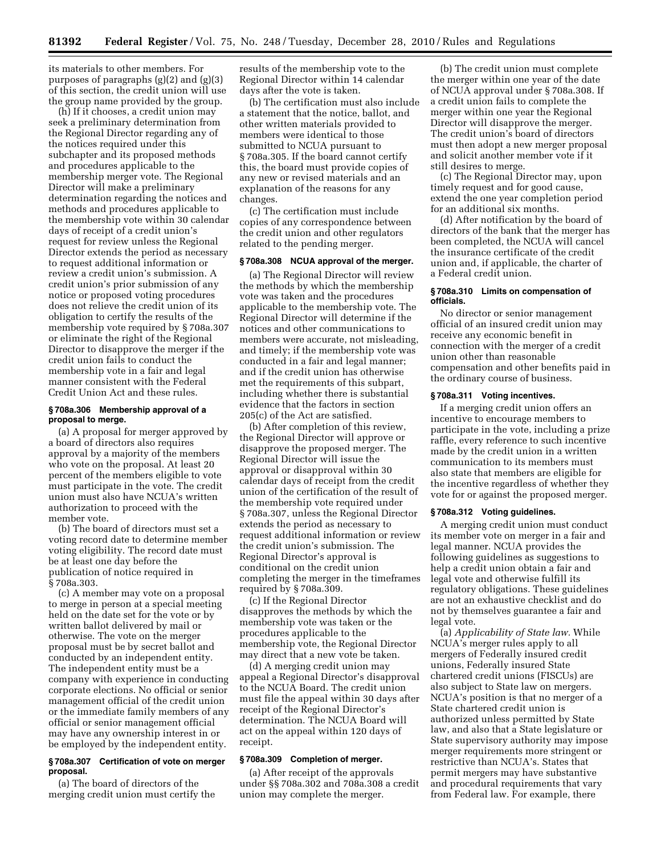its materials to other members. For purposes of paragraphs (g)(2) and (g)(3) of this section, the credit union will use the group name provided by the group.

(h) If it chooses, a credit union may seek a preliminary determination from the Regional Director regarding any of the notices required under this subchapter and its proposed methods and procedures applicable to the membership merger vote. The Regional Director will make a preliminary determination regarding the notices and methods and procedures applicable to the membership vote within 30 calendar days of receipt of a credit union's request for review unless the Regional Director extends the period as necessary to request additional information or review a credit union's submission. A credit union's prior submission of any notice or proposed voting procedures does not relieve the credit union of its obligation to certify the results of the membership vote required by § 708a.307 or eliminate the right of the Regional Director to disapprove the merger if the credit union fails to conduct the membership vote in a fair and legal manner consistent with the Federal Credit Union Act and these rules.

#### **§ 708a.306 Membership approval of a proposal to merge.**

(a) A proposal for merger approved by a board of directors also requires approval by a majority of the members who vote on the proposal. At least 20 percent of the members eligible to vote must participate in the vote. The credit union must also have NCUA's written authorization to proceed with the member vote.

(b) The board of directors must set a voting record date to determine member voting eligibility. The record date must be at least one day before the publication of notice required in § 708a.303.

(c) A member may vote on a proposal to merge in person at a special meeting held on the date set for the vote or by written ballot delivered by mail or otherwise. The vote on the merger proposal must be by secret ballot and conducted by an independent entity. The independent entity must be a company with experience in conducting corporate elections. No official or senior management official of the credit union or the immediate family members of any official or senior management official may have any ownership interest in or be employed by the independent entity.

#### **§ 708a.307 Certification of vote on merger proposal.**

(a) The board of directors of the merging credit union must certify the results of the membership vote to the Regional Director within 14 calendar days after the vote is taken.

(b) The certification must also include a statement that the notice, ballot, and other written materials provided to members were identical to those submitted to NCUA pursuant to § 708a.305. If the board cannot certify this, the board must provide copies of any new or revised materials and an explanation of the reasons for any changes.

(c) The certification must include copies of any correspondence between the credit union and other regulators related to the pending merger.

#### **§ 708a.308 NCUA approval of the merger.**

(a) The Regional Director will review the methods by which the membership vote was taken and the procedures applicable to the membership vote. The Regional Director will determine if the notices and other communications to members were accurate, not misleading, and timely; if the membership vote was conducted in a fair and legal manner; and if the credit union has otherwise met the requirements of this subpart, including whether there is substantial evidence that the factors in section 205(c) of the Act are satisfied.

(b) After completion of this review, the Regional Director will approve or disapprove the proposed merger. The Regional Director will issue the approval or disapproval within 30 calendar days of receipt from the credit union of the certification of the result of the membership vote required under § 708a.307, unless the Regional Director extends the period as necessary to request additional information or review the credit union's submission. The Regional Director's approval is conditional on the credit union completing the merger in the timeframes required by § 708a.309.

(c) If the Regional Director disapproves the methods by which the membership vote was taken or the procedures applicable to the membership vote, the Regional Director may direct that a new vote be taken.

(d) A merging credit union may appeal a Regional Director's disapproval to the NCUA Board. The credit union must file the appeal within 30 days after receipt of the Regional Director's determination. The NCUA Board will act on the appeal within 120 days of receipt.

#### **§ 708a.309 Completion of merger.**

(a) After receipt of the approvals under §§ 708a.302 and 708a.308 a credit union may complete the merger.

(b) The credit union must complete the merger within one year of the date of NCUA approval under § 708a.308. If a credit union fails to complete the merger within one year the Regional Director will disapprove the merger. The credit union's board of directors must then adopt a new merger proposal and solicit another member vote if it still desires to merge.

(c) The Regional Director may, upon timely request and for good cause, extend the one year completion period for an additional six months.

(d) After notification by the board of directors of the bank that the merger has been completed, the NCUA will cancel the insurance certificate of the credit union and, if applicable, the charter of a Federal credit union.

#### **§ 708a.310 Limits on compensation of officials.**

No director or senior management official of an insured credit union may receive any economic benefit in connection with the merger of a credit union other than reasonable compensation and other benefits paid in the ordinary course of business.

## **§ 708a.311 Voting incentives.**

If a merging credit union offers an incentive to encourage members to participate in the vote, including a prize raffle, every reference to such incentive made by the credit union in a written communication to its members must also state that members are eligible for the incentive regardless of whether they vote for or against the proposed merger.

#### **§ 708a.312 Voting guidelines.**

A merging credit union must conduct its member vote on merger in a fair and legal manner. NCUA provides the following guidelines as suggestions to help a credit union obtain a fair and legal vote and otherwise fulfill its regulatory obligations. These guidelines are not an exhaustive checklist and do not by themselves guarantee a fair and legal vote.

(a) *Applicability of State law.* While NCUA's merger rules apply to all mergers of Federally insured credit unions, Federally insured State chartered credit unions (FISCUs) are also subject to State law on mergers. NCUA's position is that no merger of a State chartered credit union is authorized unless permitted by State law, and also that a State legislature or State supervisory authority may impose merger requirements more stringent or restrictive than NCUA's. States that permit mergers may have substantive and procedural requirements that vary from Federal law. For example, there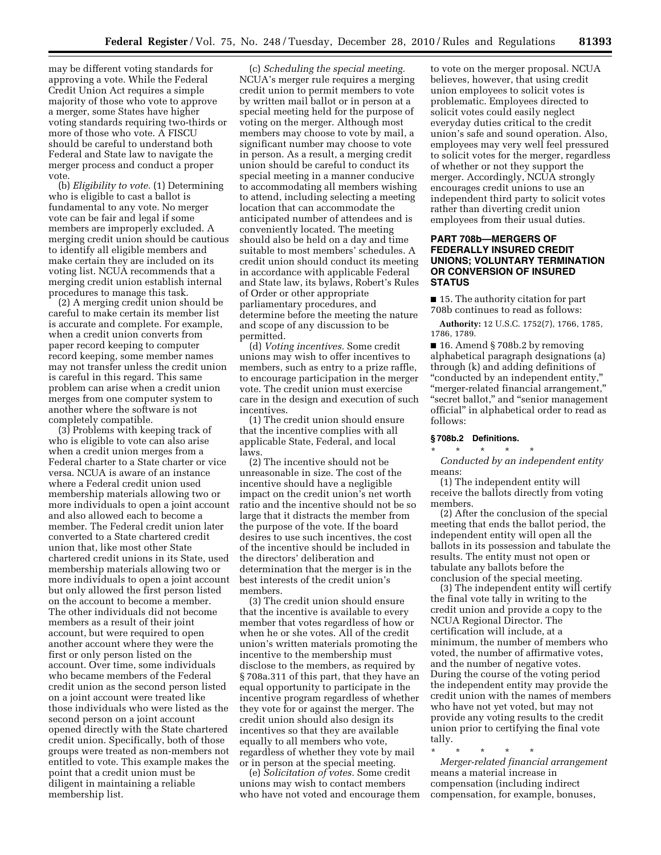may be different voting standards for approving a vote. While the Federal Credit Union Act requires a simple majority of those who vote to approve a merger, some States have higher voting standards requiring two-thirds or more of those who vote. A FISCU should be careful to understand both Federal and State law to navigate the merger process and conduct a proper vote.

(b) *Eligibility to vote.* (1) Determining who is eligible to cast a ballot is fundamental to any vote. No merger vote can be fair and legal if some members are improperly excluded. A merging credit union should be cautious to identify all eligible members and make certain they are included on its voting list. NCUA recommends that a merging credit union establish internal procedures to manage this task.

(2) A merging credit union should be careful to make certain its member list is accurate and complete. For example, when a credit union converts from paper record keeping to computer record keeping, some member names may not transfer unless the credit union is careful in this regard. This same problem can arise when a credit union merges from one computer system to another where the software is not completely compatible.

(3) Problems with keeping track of who is eligible to vote can also arise when a credit union merges from a Federal charter to a State charter or vice versa. NCUA is aware of an instance where a Federal credit union used membership materials allowing two or more individuals to open a joint account and also allowed each to become a member. The Federal credit union later converted to a State chartered credit union that, like most other State chartered credit unions in its State, used membership materials allowing two or more individuals to open a joint account but only allowed the first person listed on the account to become a member. The other individuals did not become members as a result of their joint account, but were required to open another account where they were the first or only person listed on the account. Over time, some individuals who became members of the Federal credit union as the second person listed on a joint account were treated like those individuals who were listed as the second person on a joint account opened directly with the State chartered credit union. Specifically, both of those groups were treated as non-members not entitled to vote. This example makes the point that a credit union must be diligent in maintaining a reliable membership list.

(c) *Scheduling the special meeting.*  NCUA's merger rule requires a merging credit union to permit members to vote by written mail ballot or in person at a special meeting held for the purpose of voting on the merger. Although most members may choose to vote by mail, a significant number may choose to vote in person. As a result, a merging credit union should be careful to conduct its special meeting in a manner conducive to accommodating all members wishing to attend, including selecting a meeting location that can accommodate the anticipated number of attendees and is conveniently located. The meeting should also be held on a day and time suitable to most members' schedules. A credit union should conduct its meeting in accordance with applicable Federal and State law, its bylaws, Robert's Rules of Order or other appropriate parliamentary procedures, and determine before the meeting the nature and scope of any discussion to be permitted.

(d) *Voting incentives.* Some credit unions may wish to offer incentives to members, such as entry to a prize raffle, to encourage participation in the merger vote. The credit union must exercise care in the design and execution of such incentives.

(1) The credit union should ensure that the incentive complies with all applicable State, Federal, and local laws.

(2) The incentive should not be unreasonable in size. The cost of the incentive should have a negligible impact on the credit union's net worth ratio and the incentive should not be so large that it distracts the member from the purpose of the vote. If the board desires to use such incentives, the cost of the incentive should be included in the directors' deliberation and determination that the merger is in the best interests of the credit union's members.

(3) The credit union should ensure that the incentive is available to every member that votes regardless of how or when he or she votes. All of the credit union's written materials promoting the incentive to the membership must disclose to the members, as required by § 708a.311 of this part, that they have an equal opportunity to participate in the incentive program regardless of whether they vote for or against the merger. The credit union should also design its incentives so that they are available equally to all members who vote, regardless of whether they vote by mail or in person at the special meeting.

(e) *Solicitation of votes.* Some credit unions may wish to contact members who have not voted and encourage them

to vote on the merger proposal. NCUA believes, however, that using credit union employees to solicit votes is problematic. Employees directed to solicit votes could easily neglect everyday duties critical to the credit union's safe and sound operation. Also, employees may very well feel pressured to solicit votes for the merger, regardless of whether or not they support the merger. Accordingly, NCUA strongly encourages credit unions to use an independent third party to solicit votes rather than diverting credit union employees from their usual duties.

# **PART 708b—MERGERS OF FEDERALLY INSURED CREDIT UNIONS; VOLUNTARY TERMINATION OR CONVERSION OF INSURED STATUS**

■ 15. The authority citation for part 708b continues to read as follows:

**Authority:** 12 U.S.C. 1752(7), 1766, 1785, 1786, 1789.

■ 16. Amend § 708b.2 by removing alphabetical paragraph designations (a) through (k) and adding definitions of ''conducted by an independent entity,'' ''merger-related financial arrangement,'' ''secret ballot,'' and ''senior management official'' in alphabetical order to read as follows:

#### **§ 708b.2 Definitions.**  \* \* \* \* \*

*Conducted by an independent entity*  means:

(1) The independent entity will receive the ballots directly from voting members.

(2) After the conclusion of the special meeting that ends the ballot period, the independent entity will open all the ballots in its possession and tabulate the results. The entity must not open or tabulate any ballots before the conclusion of the special meeting.

(3) The independent entity will certify the final vote tally in writing to the credit union and provide a copy to the NCUA Regional Director. The certification will include, at a minimum, the number of members who voted, the number of affirmative votes, and the number of negative votes. During the course of the voting period the independent entity may provide the credit union with the names of members who have not yet voted, but may not provide any voting results to the credit union prior to certifying the final vote tally.

\* \* \* \* \* *Merger-related financial arrangement*  means a material increase in compensation (including indirect compensation, for example, bonuses,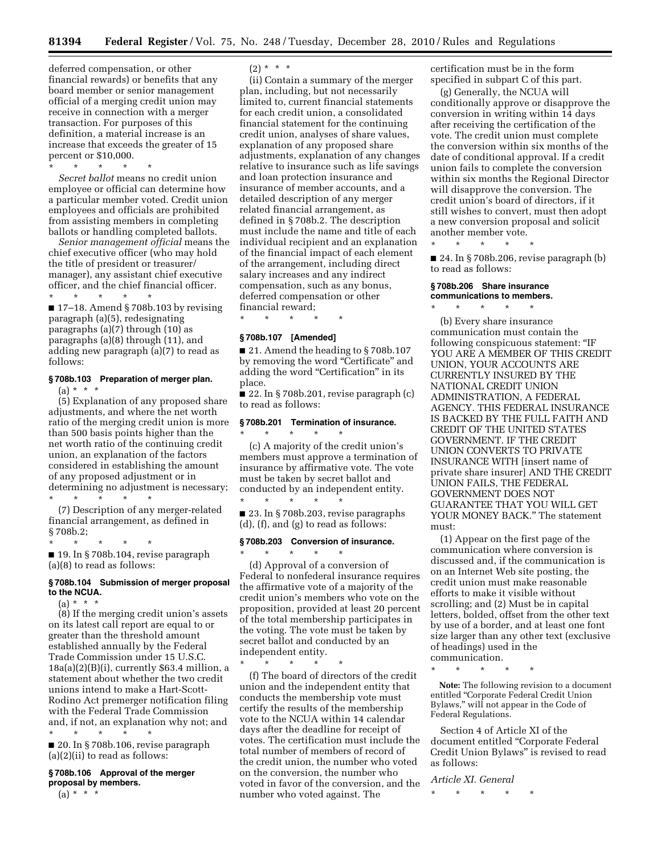deferred compensation, or other financial rewards) or benefits that any board member or senior management official of a merging credit union may receive in connection with a merger transaction. For purposes of this definition, a material increase is an increase that exceeds the greater of 15 percent or \$10,000.

\* \* \* \* \*

*Secret ballot* means no credit union employee or official can determine how a particular member voted. Credit union employees and officials are prohibited from assisting members in completing ballots or handling completed ballots.

*Senior management official* means the chief executive officer (who may hold the title of president or treasurer/ manager), any assistant chief executive officer, and the chief financial officer. \* \* \* \* \*

■ 17–18. Amend § 708b.103 by revising paragraph (a)(5), redesignating paragraphs (a)(7) through (10) as paragraphs (a)(8) through (11), and adding new paragraph (a)(7) to read as follows:

# **§ 708b.103 Preparation of merger plan.**   $(a) * * * *$

(5) Explanation of any proposed share adjustments, and where the net worth ratio of the merging credit union is more than 500 basis points higher than the net worth ratio of the continuing credit union, an explanation of the factors considered in establishing the amount of any proposed adjustment or in determining no adjustment is necessary; \* \* \* \* \*

(7) Description of any merger-related financial arrangement, as defined in § 708b.2;

\* \* \* \* \* ■ 19. In § 708b.104, revise paragraph (a)(8) to read as follows:

### **§ 708b.104 Submission of merger proposal to the NCUA.**

 $(a) * * * *$ 

(8) If the merging credit union's assets on its latest call report are equal to or greater than the threshold amount established annually by the Federal Trade Commission under 15 U.S.C. 18a(a)(2)(B)(i), currently \$63.4 million, a statement about whether the two credit unions intend to make a Hart-Scott-Rodino Act premerger notification filing with the Federal Trade Commission and, if not, an explanation why not; and \* \* \* \* \*

■ 20. In § 708b.106, revise paragraph (a)(2)(ii) to read as follows:

# **§ 708b.106 Approval of the merger proposal by members.**

 $(a) * * * *$ 

# $(2) * * * *$

(ii) Contain a summary of the merger plan, including, but not necessarily limited to, current financial statements for each credit union, a consolidated financial statement for the continuing credit union, analyses of share values, explanation of any proposed share adjustments, explanation of any changes relative to insurance such as life savings and loan protection insurance and insurance of member accounts, and a detailed description of any merger related financial arrangement, as defined in § 708b.2. The description must include the name and title of each individual recipient and an explanation of the financial impact of each element of the arrangement, including direct salary increases and any indirect compensation, such as any bonus, deferred compensation or other financial reward;

\* \* \* \* \*

# **§ 708b.107 [Amended]**

■ 21. Amend the heading to §708b.107 by removing the word "Certificate" and adding the word "Certification" in its place.

■ 22. In § 708b.201, revise paragraph (c) to read as follows:

## **§ 708b.201 Termination of insurance.**

\* \* \* \* \* (c) A majority of the credit union's members must approve a termination of insurance by affirmative vote. The vote must be taken by secret ballot and conducted by an independent entity. \* \* \* \* \*

■ 23. In § 708b.203, revise paragraphs (d), (f), and (g) to read as follows:

## **§ 708b.203 Conversion of insurance.**  \* \* \* \* \*

\* \* \* \* \*

(d) Approval of a conversion of Federal to nonfederal insurance requires the affirmative vote of a majority of the credit union's members who vote on the proposition, provided at least 20 percent of the total membership participates in the voting. The vote must be taken by secret ballot and conducted by an independent entity.

(f) The board of directors of the credit union and the independent entity that conducts the membership vote must certify the results of the membership vote to the NCUA within 14 calendar days after the deadline for receipt of votes. The certification must include the total number of members of record of the credit union, the number who voted on the conversion, the number who voted in favor of the conversion, and the number who voted against. The

certification must be in the form specified in subpart C of this part.

(g) Generally, the NCUA will conditionally approve or disapprove the conversion in writing within 14 days after receiving the certification of the vote. The credit union must complete the conversion within six months of the date of conditional approval. If a credit union fails to complete the conversion within six months the Regional Director will disapprove the conversion. The credit union's board of directors, if it still wishes to convert, must then adopt a new conversion proposal and solicit another member vote.

\* \* \* \* \*

■ 24. In § 708b.206, revise paragraph (b) to read as follows:

# **§ 708b.206 Share insurance communications to members.**

\* \* \* \* \*

(b) Every share insurance communication must contain the following conspicuous statement: ''IF YOU ARE A MEMBER OF THIS CREDIT UNION, YOUR ACCOUNTS ARE CURRENTLY INSURED BY THE NATIONAL CREDIT UNION ADMINISTRATION, A FEDERAL AGENCY. THIS FEDERAL INSURANCE IS BACKED BY THE FULL FAITH AND CREDIT OF THE UNITED STATES GOVERNMENT. IF THE CREDIT UNION CONVERTS TO PRIVATE INSURANCE WITH [insert name of private share insurer] AND THE CREDIT UNION FAILS, THE FEDERAL GOVERNMENT DOES NOT GUARANTEE THAT YOU WILL GET YOUR MONEY BACK.'' The statement must:

(1) Appear on the first page of the communication where conversion is discussed and, if the communication is on an Internet Web site posting, the credit union must make reasonable efforts to make it visible without scrolling; and (2) Must be in capital letters, bolded, offset from the other text by use of a border, and at least one font size larger than any other text (exclusive of headings) used in the communication.

\* \* \* \* \*

**Note:** The following revision to a document entitled ''Corporate Federal Credit Union Bylaws,'' will not appear in the Code of Federal Regulations.

Section 4 of Article XI of the document entitled ''Corporate Federal Credit Union Bylaws'' is revised to read as follows:

*Article XI. General* 

\* \* \* \* \*